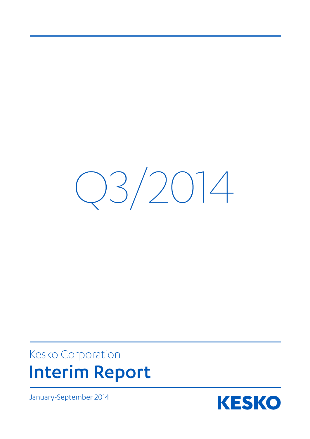$Q3/2014$ 

# Kesko Corporation **Interim Report**

January-September 2014

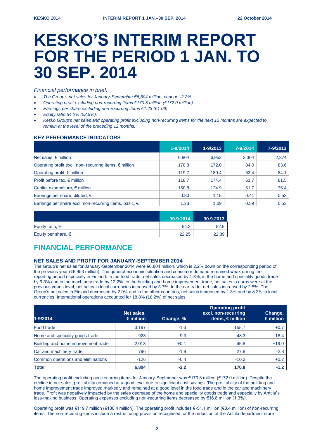# **KESKO'S INTERIM REPORT FOR THE PERIOD 1 JAN. TO 30 SEP. 2014**

*Financial performance in brief:* 

- *The Group's net sales for January-September €6,804 million, change -2.2%.*
- *Operating profit excluding non-recurring items €170.8 million (€172.0 million).*
- *Earnings per share excluding non-recurring items €1.23 (€1.09).*
- *Equity ratio 54.2% (52.9%).*
- *Kesko Group's net sales and operating profit excluding non-recurring items for the next 12 months are expected to remain at the level of the preceding 12 months.*

# **KEY PERFORMANCE INDICATORS**

|                                                                 | 1-9/2014 | 1-9/2013 | 7-9/2014 | 7-9/2013 |
|-----------------------------------------------------------------|----------|----------|----------|----------|
| Net sales, $\epsilon$ million                                   | 6,804    | 6,953    | 2,304    | 2,374    |
| Operating profit excl. non-recurring items, $\epsilon$ million  | 170.8    | 172.0    | 84.0     | 83.6     |
| Operating profit, $\epsilon$ million                            | 119.7    | 180.4    | 63.4     | 84.1     |
| Profit before tax, $\epsilon$ million                           | 118.7    | 174.4    | 61.7     | 81.5     |
| Capital expenditure, $\epsilon$ million                         | 150.8    | 124.9    | 51.7     | 35.4     |
| Earnings per share, diluted, $\epsilon$                         | 0.80     | 1.15     | 0.41     | 0.53     |
| Earnings per share excl. non-recurring items, basic, $\epsilon$ | 1.23     | 1.09     | 0.59     | 0.53     |

|                              | 30.9.2014 | 30.9.2013 |
|------------------------------|-----------|-----------|
| Equity ratio, %              | 54.2      | 52.9      |
| Equity per share, $\epsilon$ | 22.25     | 22.39     |

# **FINANCIAL PERFORMANCE**

# **NET SALES AND PROFIT FOR JANUARY-SEPTEMBER 2014**

The Group's net sales for January-September 2014 were €6,804 million, which is 2.2% down on the corresponding period of the previous year (€6,953 million). The general economic situation and consumer demand remained weak during the reporting period especially in Finland. In the food trade, net sales decreased by 1.3%, in the home and speciality goods trade by 9.3% and in the machinery trade by 12.2%. In the building and home improvement trade, net sales in euros were at the previous year's level, net sales in local currencies increased by 3.7%. In the car trade, net sales increased by 2.5%. The Group's net sales in Finland decreased by 2.9% and in the other countries, net sales increased by 1.3% and by 8.2% in local currencies. International operations accounted for 18.8% (18.2%) of net sales.

| 1-9/2014                            | Net sales.<br>$\epsilon$ million | Change, % | <b>Operating profit</b><br>excl. non-recurring<br>items, $\epsilon$ million | Change,<br>$\epsilon$ million |
|-------------------------------------|----------------------------------|-----------|-----------------------------------------------------------------------------|-------------------------------|
| Food trade                          | 3,197                            | $-1.3$    | 155.7                                                                       | $+0.7$                        |
| Home and speciality goods trade     | 923                              | $-9.3$    | $-48.3$                                                                     | $-18.4$                       |
| Building and home improvement trade | 2,013                            | $+0.1$    | 45.8                                                                        | $+19.0$                       |
| Car and machinery trade             | 796                              | $-1.9$    | 27.8                                                                        | $-2.8$                        |
| Common operations and eliminations  | $-126$                           | $-0.4$    | $-10.2$                                                                     | $+0.2$                        |
| <b>Total</b>                        | 6,804                            | $-2.2$    | 170.8                                                                       | $-1.2$                        |

The operating profit excluding non-recurring items for January-September was €170.8 million (€172.0 million). Despite the decline in net sales, profitability remained at a good level due to significant cost savings. The profitability of the building and home improvement trade improved markedly and remained at a good level in the food trade and in the car and machinery trade. Profit was negatively impacted by the sales decrease of the home and speciality goods trade and especially by Anttila's loss-making business. Operating expenses excluding non-recurring items decreased by €16.8 million (1.3%).

Operating profit was €119.7 million (€180.4 million). The operating profit includes €-51.1 million (€8.4 million) of non-recurring items. The non-recurring items include a restructuring provision recognised for the reduction of the Anttila department store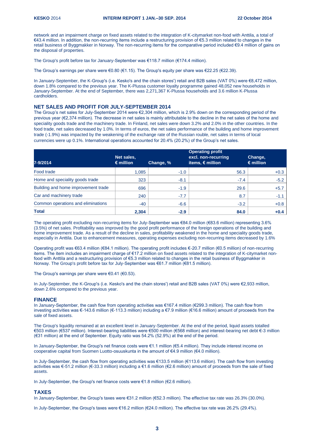network and an impairment charge on fixed assets related to the integration of K-citymarket non-food with Anttila, a total of €43.4 million. In addition, the non-recurring items include a restructuring provision of €5.3 million related to changes in the retail business of Byggmakker in Norway. The non-recurring items for the comparative period included €9.4 million of gains on the disposal of properties.

The Group's profit before tax for January-September was €118.7 million (€174.4 million).

The Group's earnings per share were €0.80 (€1.15). The Group's equity per share was €22.25 (€22.39).

In January-September, the K-Group's (i.e. Kesko's and the chain stores') retail and B2B sales (VAT 0%) were €8,472 million, down 1.8% compared to the previous year. The K-Plussa customer loyalty programme gained 48,052 new households in January-September. At the end of September, there was 2,271,367 K-Plussa households and 3.6 million K-Plussa cardholders.

# **NET SALES AND PROFIT FOR JULY-SEPTEMBER 2014**

The Group's net sales for July-September 2014 were €2,304 million, which is 2.9% down on the corresponding period of the previous year (€2,374 million). The decrease in net sales is mainly attributable to the decline in the net sales of the home and speciality goods trade and the machinery trade. In Finland, net sales were down 3.2% and 2.0% in the other countries. In the food trade, net sales decreased by 1.0%. In terms of euros, the net sales performance of the building and home improvement trade (-1.9%) was impacted by the weakening of the exchange rate of the Russian rouble, net sales in terms of local currencies were up 0.1%. International operations accounted for 20.4% (20.2%) of the Group's net sales.

| 7-9/2014                            | Net sales,<br>$\epsilon$ million | Change, % | <b>Operating profit</b><br>excl. non-recurring<br>items, $\epsilon$ million | Change,<br>$\epsilon$ million |
|-------------------------------------|----------------------------------|-----------|-----------------------------------------------------------------------------|-------------------------------|
| Food trade                          | 1.085                            | $-1.0$    | 56.3                                                                        | $+0.3$                        |
| Home and speciality goods trade     | 323                              | $-8.1$    | $-7.4$                                                                      | $-5.2$                        |
| Building and home improvement trade | 696                              | $-1.9$    | 29.6                                                                        | $+5.7$                        |
| Car and machinery trade             | 240                              | $-7.7$    | 8.7                                                                         | $-1.1$                        |
| Common operations and eliminations  | $-40$                            | $-6.6$    | $-3.2$                                                                      | $+0.8$                        |
| <b>Total</b>                        | 2,304                            | $-2.9$    | 84.0                                                                        | $+0.4$                        |

The operating profit excluding non-recurring items for July-September was €84.0 million (€83.6 million) representing 3.6% (3.5%) of net sales. Profitability was improved by the good profit performance of the foreign operations of the building and home improvement trade. As a result of the decline in sales, profitability weakened in the home and speciality goods trade, especially in Anttila. Due to enhancement measures, operating expenses excluding non-recurring items decreased by 1.6%

Operating profit was €63.4 million (€84.1 million). The operating profit includes €-20.7 million (€0.5 million) of non-recurring items. The item includes an impairment charge of €17.2 million on fixed assets related to the integration of K-citymarket nonfood with Anttila and a restructuring provision of €5.3 million related to changes in the retail business of Byggmakker in Norway. The Group's profit before tax for July-September was €61.7 million (€81.5 million).

The Group's earnings per share were €0.41 (€0.53).

In July-September, the K-Group's (i.e. Kesko's and the chain stores') retail and B2B sales (VAT 0%) were €2,933 million, down 2.6% compared to the previous year.

#### **FINANCE**

In January-September, the cash flow from operating activities was €167.4 million (€299.3 million). The cash flow from investing activities was €-143.6 million (€-113.3 million) including a €7.9 million (€16.6 million) amount of proceeds from the sale of fixed assets.

The Group's liquidity remained at an excellent level in January-September. At the end of the period, liquid assets totalled €503 million (€537 million). Interest-bearing liabilities were €500 million (€568 million) and interest-bearing net debt €-3 million (€31 million) at the end of September. Equity ratio was 54.2% (52.9%) at the end of the period.

In January-September, the Group's net finance costs were €1.1 million (€5.4 million). They include interest income on cooperative capital from Suomen Luotto-osuuskunta in the amount of €4.9 million (€4.0 million).

In July-September, the cash flow from operating activities was €133.5 million (€113.6 million). The cash flow from investing activities was €-51.2 million (€-33.3 million) including a €1.6 million (€2.6 million) amount of proceeds from the sale of fixed assets.

In July-September, the Group's net finance costs were €1.8 million (€2.6 million).

#### **TAXES**

In January-September, the Group's taxes were €31.2 million (€52.3 million). The effective tax rate was 26.3% (30.0%).

In July-September, the Group's taxes were €16.2 million (€24.0 million). The effective tax rate was 26.2% (29.4%).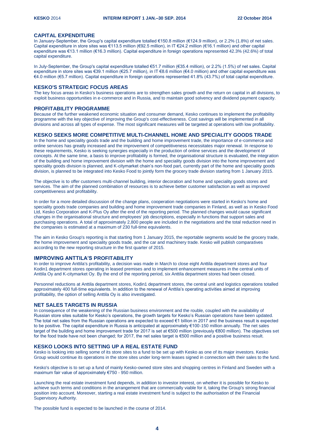## **CAPITAL EXPENDITURE**

In January-September, the Group's capital expenditure totalled €150.8 million (€124.9 million), or 2.2% (1.8%) of net sales. Capital expenditure in store sites was €113.5 million (€92.5 million), in IT €24.2 million (€16.1 million) and other capital expenditure was €13.1 million (€16.3 million). Capital expenditure in foreign operations represented 42.3% (42.6%) of total capital expenditure.

In July-September, the Group's capital expenditure totalled €51.7 million (€35.4 million), or 2.2% (1.5%) of net sales. Capital expenditure in store sites was €39.1 million (€25.7 million), in IT €8.6 million (€4.0 million) and other capital expenditure was €4.0 million (€5.7 million). Capital expenditure in foreign operations represented 41.8% (43.7%) of total capital expenditure.

# **KESKO'S STRATEGIC FOCUS AREAS**

The key focus areas in Kesko's business operations are to strengthen sales growth and the return on capital in all divisions, to exploit business opportunities in e-commerce and in Russia, and to maintain good solvency and dividend payment capacity.

#### **PROFITABILITY PROGRAMME**

Because of the further weakened economic situation and consumer demand, Kesko continues to implement the profitability programme with the key objective of improving the Group's cost-effectiveness. Cost savings will be implemented in all divisions and across all types of expense. The most significant measures will be targeted at operations with low profitability.

#### **KESKO SEEKS MORE COMPETITIVE MULTI-CHANNEL HOME AND SPECIALITY GOODS TRADE**

In the home and speciality goods trade and the building and home improvement trade, the importance of e-commerce and online services has greatly increased and the improvement of competitiveness necessitates major renewal. In response to these requirements, Kesko is seeking synergies especially in the production of online services and the development of concepts. At the same time, a basis to improve profitability is formed, the organisational structure is evaluated, the integration of the building and home improvement division with the home and speciality goods division into the home improvement and speciality goods division is planned, and K-citymarket chain's non-food part, currently part of the home and speciality goods division, is planned to be integrated into Kesko Food to jointly form the grocery trade division starting from 1 January 2015.

The objective is to offer customers multi-channel building, interior decoration and home and speciality goods stores and services. The aim of the planned combination of resources is to achieve better customer satisfaction as well as improved competitiveness and profitability.

In order for a more detailed discussion of the change plans, cooperation negotiations were started in Kesko's home and speciality goods trade companies and building and home improvement trade companies in Finland, as well as in Kesko Food Ltd, Kesko Corporation and K-Plus Oy after the end of the reporting period. The planned changes would cause significant changes in the organisational structure and employees' job descriptions, especially in functions that support sales and purchasing operations. A total of approximately 2,800 people are included in the negotiations and the total reduction need in the companies is estimated at a maximum of 230 full-time equivalents.

The aim in Kesko Group's reporting is that starting from 1 January 2015, the reportable segments would be the grocery trade, the home improvement and speciality goods trade, and the car and machinery trade. Kesko will publish comparatives according to the new reporting structure in the first quarter of 2015.

# **IMPROVING ANTTILA'S PROFITABILITY**

In order to improve Anttila's profitability, a decision was made in March to close eight Anttila department stores and four Kodin1 department stores operating in leased premises and to implement enhancement measures in the central units of Anttila Oy and K-citymarket Oy. By the end of the reporting period, six Anttila department stores had been closed.

Personnel reductions at Anttila department stores, Kodin1 department stores, the central unit and logistics operations totalled approximately 400 full-time equivalents. In addition to the renewal of Anttila's operating activities aimed at improving profitability, the option of selling Anttila Oy is also investigated.

# **NET SALES TARGETS IN RUSSIA**

In consequence of the weakening of the Russian business environment and the rouble, coupled with the availability of Russian store sites suitable for Kesko's operations, the growth targets for Kesko's Russian operations have been updated. The total net sales from the Russian operations are expected to exceed €1 billion in 2017 and the business result is expected to be positive. The capital expenditure in Russia is anticipated at approximately €100-150 million annually. The net sales target of the building and home improvement trade for 2017 is set at €500 million (previously €800 million). The objectives set for the food trade have not been changed; for 2017, the net sales target is €500 million and a positive business result.

# **KESKO LOOKS INTO SETTING UP A REAL ESTATE FUND**

Kesko is looking into selling some of its store sites to a fund to be set up with Kesko as one of its major investors. Kesko Group would continue its operations in the store sites under long-term leases signed in connection with their sales to the fund.

Kesko's objective is to set up a fund of mainly Kesko-owned store sites and shopping centres in Finland and Sweden with a maximum fair value of approximately €750 - 950 million.

Launching the real estate investment fund depends, in addition to investor interest, on whether it is possible for Kesko to achieve such terms and conditions in the arrangement that are commercially viable for it, taking the Group's strong financial position into account. Moreover, starting a real estate investment fund is subject to the authorisation of the Financial Supervisory Authority.

The possible fund is expected to be launched in the course of 2014.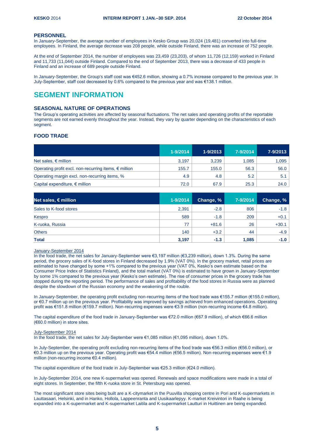#### **PERSONNEL**

In January-September, the average number of employees in Kesko Group was 20,024 (19,481) converted into full-time employees. In Finland, the average decrease was 208 people, while outside Finland, there was an increase of 752 people.

At the end of September 2014, the number of employees was 23,459 (23,203), of whom 11,726 (12,159) worked in Finland and 11,733 (11,044) outside Finland. Compared to the end of September 2013, there was a decrease of 433 people in Finland and an increase of 689 people outside Finland.

In January-September, the Group's staff cost was €452.6 million, showing a 0.7% increase compared to the previous year. In July-September, staff cost decreased by 0.6% compared to the previous year and was €138.1 million.

# **SEGMENT INFORMATION**

## **SEASONAL NATURE OF OPERATIONS**

The Group's operating activities are affected by seasonal fluctuations. The net sales and operating profits of the reportable segments are not earned evenly throughout the year. Instead, they vary by quarter depending on the characteristics of each segment.

# **FOOD TRADE**

|                                                                | $1 - 9/2014$ | 1-9/2013 | 7-9/2014 | 7-9/2013 |
|----------------------------------------------------------------|--------------|----------|----------|----------|
| Net sales, $\epsilon$ million                                  | 3,197        | 3.239    | 1.085    | 1,095    |
| Operating profit excl. non-recurring items, $\epsilon$ million | 155.7        | 155.0    | 56.3     | 56.0     |
| Operating margin excl. non-recurring items, %                  | 4.9          | 4.8      | 5.2      | 5.1      |
| Capital expenditure, $\epsilon$ million                        | 72.0         | 67.9     | 25.3     | 24.0     |

| Net sales, $\epsilon$ million | $1 - 9/2014$ | Change, % | 7-9/2014 | Change, % |
|-------------------------------|--------------|-----------|----------|-----------|
| Sales to K-food stores        | 2,391        | $-2.8$    | 806      | $-1.8$    |
| Kespro                        | 589          | $-1.8$    | 209      | $+0.1$    |
| K-ruoka, Russia               | 77           | $+81.6$   | 26       | $+30.1$   |
| <b>Others</b>                 | 140          | $+3.2$    | 44       | $-4.9$    |
| <b>Total</b>                  | 3,197        | $-1.3$    | 1,085    | $-1.0$    |

# January-September 2014

In the food trade, the net sales for January-September were €3,197 million (€3,239 million), down 1.3%. During the same period, the grocery sales of K-food stores in Finland decreased by 1.9% (VAT 0%). In the grocery market, retail prices are estimated to have changed by some +1% compared to the previous year (VAT 0%, Kesko's own estimate based on the Consumer Price Index of Statistics Finland), and the total market (VAT 0%) is estimated to have grown in January-September by some 1% compared to the previous year (Kesko's own estimate). The rise of consumer prices in the grocery trade has stopped during the reporting period. The performance of sales and profitability of the food stores in Russia were as planned despite the slowdown of the Russian economy and the weakening of the rouble.

In January-September, the operating profit excluding non-recurring items of the food trade was €155.7 million (€155.0 million), or €0.7 million up on the previous year. Profitability was improved by savings achieved from enhanced operations. Operating profit was €151.8 million (€159.7 million). Non-recurring expenses were €3.9 million (non-recurring income €4.8 million).

The capital expenditure of the food trade in January-September was €72.0 million (€67.9 million), of which €66.6 million (€60.0 million) in store sites.

#### July-September 2014

In the food trade, the net sales for July-September were €1,085 million (€1,095 million), down 1.0%.

In July-September, the operating profit excluding non-recurring items of the food trade was €56.3 million (€56.0 million), or €0.3 million up on the previous year. Operating profit was €54.4 million (€56.5 million). Non-recurring expenses were €1.9 million (non-recurring income €0.4 million).

The capital expenditure of the food trade in July-September was €25.3 million (€24.0 million).

In July-September 2014, one new K-supermarket was opened. Renewals and space modifications were made in a total of eight stores. In September, the fifth K-ruoka store in St. Petersburg was opened.

The most significant store sites being built are a K-citymarket in the Puuvilla shopping centre in Pori and K-supermarkets in Lauttasaari, Helsinki, and in Hanko, Hollola, Lappeenranta and Uusikaarlepyy. K-market Kreivintori in Raahe is being expanded into a K-supermarket and K-supermarket Laitila and K-supermarket Lautturi in Huittinen are being expanded.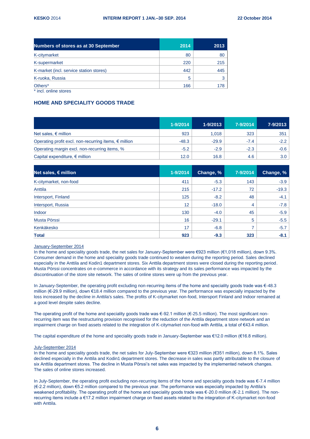| <b>Numbers of stores as at 30 September</b>  | 2014 | 2013 |
|----------------------------------------------|------|------|
| K-citymarket                                 | 80   | 80   |
| K-supermarket                                | 220  | 215  |
| K-market (incl. service station stores)      | 442  | 445  |
| K-ruoka, Russia                              | 5    |      |
| Others <sup>*</sup><br>* incl. online stores | 166  | 178  |

# **HOME AND SPECIALITY GOODS TRADE**

|                                                                | $1 - 9/2014$ | 1-9/2013 | 7-9/2014 | 7-9/2013 |
|----------------------------------------------------------------|--------------|----------|----------|----------|
| Net sales, $\epsilon$ million                                  | 923          | 1.018    | 323      | 351      |
| Operating profit excl. non-recurring items, $\epsilon$ million | $-48.3$      | $-29.9$  | $-7.4$   | $-2.2$   |
| Operating margin excl. non-recurring items, %                  | $-5.2$       | $-2.9$   | $-2.3$   | $-0.6$   |
| Capital expenditure, $\epsilon$ million                        | 12.0         | 16.8     | 4.6      | 3.0      |

| Net sales, $\epsilon$ million | 1-9/2014 | Change, % | 7-9/2014 | Change, % |
|-------------------------------|----------|-----------|----------|-----------|
| K-citymarket, non-food        | 411      | $-5.3$    | 143      | $-3.9$    |
| Anttila                       | 215      | $-17.2$   | 72       | $-19.3$   |
| Intersport, Finland           | 125      | $-8.2$    | 48       | $-4.1$    |
| Intersport, Russia            | 12       | $-18.0$   | 4        | $-7.8$    |
| Indoor                        | 130      | $-4.0$    | 45       | $-5.9$    |
| Musta Pörssi                  | 16       | $-29.1$   | 5        | $-5.5$    |
| Kenkäkesko                    | 17       | $-6.8$    | 7        | $-5.7$    |
| <b>Total</b>                  | 923      | $-9.3$    | 323      | $-8.1$    |

# January-September 2014

In the home and speciality goods trade, the net sales for January-September were €923 million (€1,018 million), down 9.3%. Consumer demand in the home and speciality goods trade continued to weaken during the reporting period. Sales declined especially in the Anttila and Kodin1 department stores. Six Anttila department stores were closed during the reporting period. Musta Pörssi concentrates on e-commerce in accordance with its strategy and its sales performance was impacted by the discontinuation of the store site network. The sales of online stores were up from the previous year.

In January-September, the operating profit excluding non-recurring items of the home and speciality goods trade was €-48.3 million (€-29.9 million), down €18.4 million compared to the previous year. The performance was especially impacted by the loss increased by the decline in Anttila's sales. The profits of K-citymarket non-food, Intersport Finland and Indoor remained at a good level despite sales decline.

The operating profit of the home and speciality goods trade was €-92.1 million (€-25.5 million). The most significant nonrecurring item was the restructuring provision recognised for the reduction of the Anttila department store network and an impairment charge on fixed assets related to the integration of K-citymarket non-food with Anttila, a total of €43.4 million.

The capital expenditure of the home and speciality goods trade in January-September was €12.0 million (€16.8 million).

#### July-September 2014

In the home and speciality goods trade, the net sales for July-September were €323 million (€351 million), down 8.1%. Sales declined especially in the Anttila and Kodin1 department stores. The decrease in sales was partly attributable to the closure of six Anttila department stores. The decline in Musta Pörssi's net sales was impacted by the implemented network changes. The sales of online stores increased.

In July-September, the operating profit excluding non-recurring items of the home and speciality goods trade was €-7.4 million (€-2.2 million), down €5.2 million compared to the previous year. The performance was especially impacted by Anttila's weakened profitability. The operating profit of the home and speciality goods trade was €-20.0 million (€-2.1 million). The nonrecurring items include a €17.2 million impairment charge on fixed assets related to the integration of K-citymarket non-food with Anttila.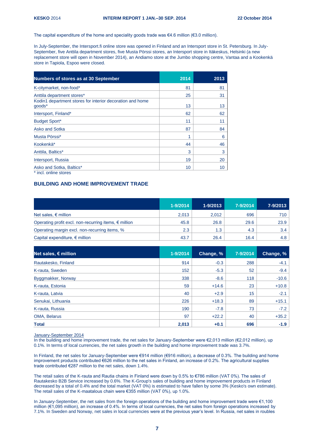The capital expenditure of the home and speciality goods trade was  $\epsilon$ 4.6 million ( $\epsilon$ 3.0 million).

In July-September, the Intersport.fi online store was opened in Finland and an Intersport store in St. Petersburg. In July-September, five Anttila department stores, five Musta Pörssi stores, an Intersport store in Itäkeskus, Helsinki (a new replacement store will open in November 2014), an Andiamo store at the Jumbo shopping centre, Vantaa and a Kookenkä store in Tapiola, Espoo were closed.

| Numbers of stores as at 30 September                                | 2014 | 2013 |
|---------------------------------------------------------------------|------|------|
| K-citymarket, non-food*                                             | 81   | 81   |
| Anttila department stores*                                          | 25   | 31   |
| Kodin1 department stores for interior decoration and home<br>goods* | 13   | 13   |
| Intersport, Finland*                                                | 62   | 62   |
| <b>Budget Sport*</b>                                                | 11   | 11   |
| <b>Asko and Sotka</b>                                               | 87   | 84   |
| Musta Pörssi*                                                       | 1    | 6    |
| Kookenkä*                                                           | 44   | 46   |
| Anttila, Baltics*                                                   | 3    | 3    |
| Intersport, Russia                                                  | 19   | 20   |
| Asko and Sotka, Baltics*                                            | 10   | 10   |
| * incl. online stores                                               |      |      |

# **BUILDING AND HOME IMPROVEMENT TRADE**

|                                                                | $1 - 9/2014$ | 1-9/2013 | 7-9/2014 | 7-9/2013      |
|----------------------------------------------------------------|--------------|----------|----------|---------------|
| Net sales, $\epsilon$ million                                  | 2,013        | 2.012    | 696      | 710           |
| Operating profit excl. non-recurring items, $\epsilon$ million | 45.8         | 26.8     | 29.6     | 23.9          |
| Operating margin excl. non-recurring items, %                  | 2.3          | 1.3      | 4.3      | $3.4^{\circ}$ |
| Capital expenditure, $\epsilon$ million                        | 43.7         | 26.4     | 16.4     | 4.8           |

| Net sales, $\epsilon$ million | 1-9/2014 | Change, % | 7-9/2014 | Change, % |
|-------------------------------|----------|-----------|----------|-----------|
| Rautakesko, Finland           | 914      | $-0.3$    | 288      | $-4.1$    |
| K-rauta, Sweden               | 152      | $-5.3$    | 52       | $-9.4$    |
| Byggmakker, Norway            | 338      | $-8.6$    | 118      | $-10.6$   |
| K-rauta, Estonia              | 59       | $+14.6$   | 23       | $+10.8$   |
| K-rauta, Latvia               | 40       | $+2.9$    | 15       | $-2.1$    |
| Senukai, Lithuania            | 226      | $+18.3$   | 89       | $+15.1$   |
| K-rauta, Russia               | 190      | $-7.8$    | 73       | $-7.2$    |
| OMA, Belarus                  | 97       | $+22.2$   | 40       | $+35.2$   |
| <b>Total</b>                  | 2,013    | $+0.1$    | 696      | $-1.9$    |

January-September 2014

In the building and home improvement trade, the net sales for January-September were €2,013 million (€2,012 million), up 0.1%. In terms of local currencies, the net sales growth in the building and home improvement trade was 3.7%.

In Finland, the net sales for January-September were €914 million (€916 million), a decrease of 0.3%. The building and home improvement products contributed €626 million to the net sales in Finland, an increase of 0.2%. The agricultural supplies trade contributed €287 million to the net sales, down 1.4%.

The retail sales of the K-rauta and Rautia chains in Finland were down by 0.5% to €786 million (VAT 0%). The sales of Rautakesko B2B Service increased by 0.6%. The K-Group's sales of building and home improvement products in Finland decreased by a total of 0.4% and the total market (VAT 0%) is estimated to have fallen by some 3% (Kesko's own estimate). The retail sales of the K-maatalous chain were €355 million (VAT 0%), up 1.0%.

In January-September, the net sales from the foreign operations of the building and home improvement trade were €1,100 million (€1,095 million), an increase of 0.4%. In terms of local currencies, the net sales from foreign operations increased by 7.1%. In Sweden and Norway, net sales in local currencies were at the previous year's level. In Russia, net sales in roubles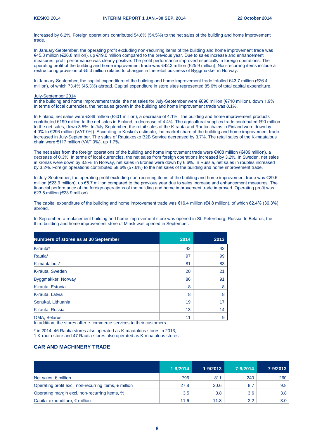increased by 6.2%. Foreign operations contributed 54.6% (54.5%) to the net sales of the building and home improvement trade.

In January-September, the operating profit excluding non-recurring items of the building and home improvement trade was €45.8 million (€26.8 million), up €19.0 million compared to the previous year. Due to sales increase and enhancement measures, profit performance was clearly positive. The profit performance improved especially in foreign operations. The operating profit of the building and home improvement trade was €42.3 million (€25.9 million). Non-recurring items include a restructuring provision of €5.3 million related to changes in the retail business of Byggmakker in Norway.

In January-September, the capital expenditure of the building and home improvement trade totalled €43.7 million (€26.4 million), of which 73.4% (45.3%) abroad. Capital expenditure in store sites represented 85.6% of total capital expenditure.

#### July-September 2014

In the building and home improvement trade, the net sales for July-September were €696 million (€710 million), down 1.9%. In terms of local currencies, the net sales growth in the building and home improvement trade was 0.1%.

In Finland, net sales were €288 million (€301 million), a decrease of 4.1%. The building and home improvement products contributed €199 million to the net sales in Finland, a decrease of 4.4%. The agricultural supplies trade contributed €90 million to the net sales, down 3.5%. In July-September, the retail sales of the K-rauta and Rautia chains in Finland were down by 4.0% to €296 million (VAT 0%). According to Kesko's estimate, the market share of the building and home improvement trade increased in July-September. The sales of Rautakesko B2B Service decreased by 3.7%. The retail sales of the K-maatalous chain were  $€117$  million (VAT 0%), up 1.7%.

The net sales from the foreign operations of the building and home improvement trade were €408 million (€409 million), a decrease of 0.3%. In terms of local currencies, the net sales from foreign operations increased by 3.2%. In Sweden, net sales in kronas were down by 3.8%. In Norway, net sales in krones were down by 6.6%. In Russia, net sales in roubles increased by 3.2%. Foreign operations contributed 58.6% (57.6%) to the net sales of the building and home improvement trade.

In July-September, the operating profit excluding non-recurring items of the building and home improvement trade was €29.6 million (€23.9 million), up €5.7 million compared to the previous year due to sales increase and enhancement measures. The financial performance of the foreign operations of the building and home improvement trade improved. Operating profit was €23.5 million (€23.9 million).

The capital expenditure of the building and home improvement trade was €16.4 million (€4.8 million), of which 62.4% (36.3%) abroad.

In September, a replacement building and home improvement store was opened in St. Petersburg, Russia. In Belarus, the third building and home improvement store of Minsk was opened in September.

| <b>Numbers of stores as at 30 September</b>                                                                                                                                                                     | 2014 | 2013 |
|-----------------------------------------------------------------------------------------------------------------------------------------------------------------------------------------------------------------|------|------|
| K-rauta*                                                                                                                                                                                                        | 42   | 42   |
| Rautia <sup>*</sup>                                                                                                                                                                                             | 97   | 99   |
| K-maatalous*                                                                                                                                                                                                    | 81   | 83   |
| K-rauta, Sweden                                                                                                                                                                                                 | 20   | 21   |
| Byggmakker, Norway                                                                                                                                                                                              | 86   | 91   |
| K-rauta, Estonia                                                                                                                                                                                                | 8    | 8    |
| K-rauta, Latvia                                                                                                                                                                                                 | 8    | 8    |
| Senukai, Lithuania                                                                                                                                                                                              | 19   | 17   |
| K-rauta, Russia                                                                                                                                                                                                 | 13   | 14   |
| OMA, Belarus<br>the contract and contract the contract of<br>$\ddot{\phantom{0}}$<br><b>Sales Contract Contract Contract</b><br>the contract of the contract of the contract of the contract of the contract of | 11   | 9    |

In addition, the stores offer e-commerce services to their customers.

\* in 2014, 46 Rautia stores also operated as K-maatalous stores in 2013,

1 K-rauta store and 47 Rautia stores also operated as K-maatalous stores

# **CAR AND MACHINERY TRADE**

|                                                                | $1 - 9/2014$ | $1 - 9/2013$ | 7-9/2014 | 7-9/2013 |
|----------------------------------------------------------------|--------------|--------------|----------|----------|
| Net sales, $\epsilon$ million                                  | 796          | 811          | 240      | 260      |
| Operating profit excl. non-recurring items, $\epsilon$ million | 27.8         | 30.6         | 8.7      | 9.8      |
| Operating margin excl. non-recurring items, %                  | 3.5          | 3.8          | 3.6      | 3.8      |
| Capital expenditure, $\epsilon$ million                        | 11.6         | 11.8         | 2.2      | 3.0      |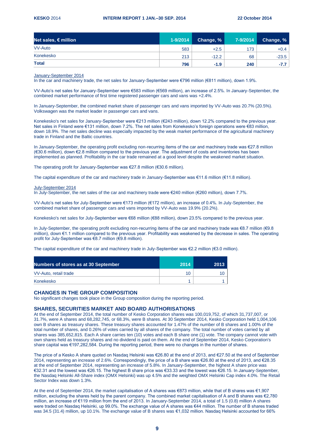| Net sales, $\epsilon$ million | $1 - 9/2014$ | Change, % | 7-9/2014 | Change, % |
|-------------------------------|--------------|-----------|----------|-----------|
| <b>VV-Auto</b>                | 583          | $+2.5$    | 173      | $+0.4$    |
| Konekesko                     | 213          | $-12.2$   | 68       | $-23.5$   |
| <b>Total</b>                  | 796          | $-1.9$    | 240      | $-7.7$    |

#### January-September 2014

In the car and machinery trade, the net sales for January-September were €796 million (€811 million), down 1.9%.

VV-Auto's net sales for January-September were €583 million (€569 million), an increase of 2.5%. In January-September, the combined market performance of first time registered passenger cars and vans was +2.4%.

In January-September, the combined market share of passenger cars and vans imported by VV-Auto was 20.7% (20.5%). Volkswagen was the market leader in passenger cars and vans.

Konekesko's net sales for January-September were €213 million (€243 million), down 12.2% compared to the previous year. Net sales in Finland were €131 million, down 7.2%. The net sales from Konekesko's foreign operations were €83 million, down 18.9%. The net sales decline was especially impacted by the weak market performance of the agricultural machinery trade in Finland and the Baltic countries.

In January-September, the operating profit excluding non-recurring items of the car and machinery trade was €27.8 million (€30.6 million), down €2.8 million compared to the previous year. The adjustment of costs and inventories has been implemented as planned. Profitability in the car trade remained at a good level despite the weakened market situation.

The operating profit for January-September was €27.8 million (€30.6 million).

The capital expenditure of the car and machinery trade in January-September was €11.6 million (€11.8 million).

July-September 2014

In July-September, the net sales of the car and machinery trade were €240 million (€260 million), down 7.7%.

VV-Auto's net sales for July-September were €173 million (€172 million), an increase of 0.4%. In July-September, the combined market share of passenger cars and vans imported by VV-Auto was 19.9% (20.2%).

Konekesko's net sales for July-September were €68 million (€88 million), down 23.5% compared to the previous year.

In July-September, the operating profit excluding non-recurring items of the car and machinery trade was €8.7 million (€9.8 million), down €1.1 million compared to the previous year. Profitability was weakened by the decrease in sales. The operating profit for July-September was €8.7 million (€9.8 million).

The capital expenditure of the car and machinery trade in July-September was €2.2 million (€3.0 million).

| <b>Numbers of stores as at 30 September</b> | 2014 | 2013 |
|---------------------------------------------|------|------|
| VV-Auto, retail trade                       |      |      |
| Konekesko                                   |      |      |

#### **CHANGES IN THE GROUP COMPOSITION**

No significant changes took place in the Group composition during the reporting period.

# **SHARES, SECURITIES MARKET AND BOARD AUTHORISATIONS**

At the end of September 2014, the total number of Kesko Corporation shares was 100,019,752, of which 31,737,007, or 31.7%, were A shares and 68,282,745, or 68.3%, were B shares. At 30 September 2014, Kesko Corporation held 1,004,106 own B shares as treasury shares. These treasury shares accounted for 1.47% of the number of B shares and 1.00% of the total number of shares, and 0.26% of votes carried by all shares of the company. The total number of votes carried by all shares was 385,652,815. Each A share carries ten (10) votes and each B share one (1) vote. The company cannot vote with own shares held as treasury shares and no dividend is paid on them. At the end of September 2014, Kesko Corporation's share capital was €197,282,584. During the reporting period, there were no changes in the number of shares.

The price of a Kesko A share quoted on Nasdaq Helsinki was €26.80 at the end of 2013, and €27.50 at the end of September 2014, representing an increase of 2.6%. Correspondingly, the price of a B share was €26.80 at the end of 2013, and €28.35 at the end of September 2014, representing an increase of 5.8%. In January-September, the highest A share price was €32.31 and the lowest was €26.15. The highest B share price was €33.33 and the lowest was €26.15. In January-September, the Nasdaq Helsinki All-Share index (OMX Helsinki) was up 4.5% and the weighted OMX Helsinki Cap index 4.0%. The Retail Sector Index was down 1.3%.

At the end of September 2014, the market capitalisation of A shares was €873 million, while that of B shares was €1,907 million, excluding the shares held by the parent company. The combined market capitalisation of A and B shares was €2,780 million, an increase of €119 million from the end of 2013. In January-September 2014, a total of 1.5 (0.8) million A shares were traded on Nasdaq Helsinki, up 99.0%. The exchange value of A shares was €44 million. The number of B shares traded was 34.5 (31.4) million, up 10.1%. The exchange value of B shares was €1,032 million. Nasdaq Helsinki accounted for 66%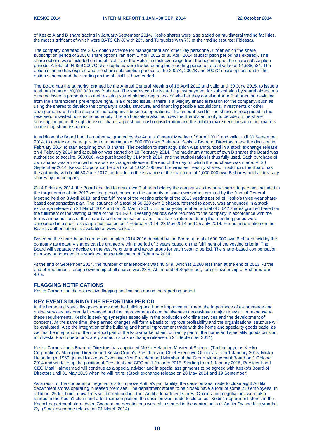of Kesko A and B share trading in January-September 2014. Kesko shares were also traded on multilateral trading facilities, the most significant of which were BATS Chi-X with 26% and Turquoise with 7% of the trading (source: Fidessa).

The company operated the 2007 option scheme for management and other key personnel, under which the share subscription period of 2007C share options ran from 1 April 2012 to 30 April 2014 (subscription period has expired). The share options were included on the official list of the Helsinki stock exchange from the beginning of the share subscription periods. A total of 94,859 2007C share options were traded during the reporting period at a total value of €1,688,524. The option scheme has expired and the share subscription periods of the 2007A, 2007B and 2007C share options under the option scheme and their trading on the official list have ended.

The Board has the authority, granted by the Annual General Meeting of 16 April 2012 and valid until 30 June 2015, to issue a total maximum of 20,000,000 new B shares. The shares can be issued against payment for subscription by shareholders in a directed issue in proportion to their existing shareholdings regardless of whether they consist of A or B shares, or, deviating from the shareholder's pre-emptive right, in a directed issue, if there is a weighty financial reason for the company, such as using the shares to develop the company's capital structure, and financing possible acquisitions, investments or other arrangements within the scope of the company's business operations. The amount paid for the shares is recognised in the reserve of invested non-restricted equity. The authorisation also includes the Board's authority to decide on the share subscription price, the right to issue shares against non-cash consideration and the right to make decisions on other matters concerning share issuances.

In addition, the Board had the authority, granted by the Annual General Meeting of 8 April 2013 and valid until 30 September 2014, to decide on the acquisition of a maximum of 500,000 own B shares. Kesko's Board of Directors made the decision in February 2014 to start acquiring own B shares. The decision to start acquisition was announced in a stock exchange release on 4 February 2014 and acquisition was started on 18 February 2014. The maximum amount of own B shares the Board was authorised to acquire, 500,000, was purchased by 31 March 2014, and the authorisation is thus fully used. Each purchase of own shares was announced in a stock exchange release at the end of the day on which the purchase was made. At 30 September 2014, Kesko Corporation held a total of 1,004,106 own B shares as treasury shares. In addition, the Board has the authority, valid until 30 June 2017, to decide on the issuance of the maximum of 1,000,000 own B shares held as treasury shares by the company.

On 4 February 2014, the Board decided to grant own B shares held by the company as treasury shares to persons included in the target group of the 2013 vesting period, based on the authority to issue own shares granted by the Annual General Meeting held on 8 April 2013, and the fulfilment of the vesting criteria of the 2013 vesting period of Kesko's three-year sharebased compensation plan. The issuance of a total of 50,520 own B shares, referred to above, was announced in a stock exchange release on 24 March 2014 and on 25 March 2014. In January-September, a total of 5,642 shares granted based on the fulfilment of the vesting criteria of the 2011-2013 vesting periods were returned to the company in accordance with the terms and conditions of the share-based compensation plan. The shares returned during the reporting period were announced in a stock exchange notification on 7 February 2014, 23 May 2014 and 25 July 2014. Further information on the Board's authorisations is available at www.kesko.fi.

Based on the share-based compensation plan 2014-2016 decided by the Board, a total of 600,000 own B shares held by the company as treasury shares can be granted within a period of 3 years based on the fulfilment of the vesting criteria. The Board will separately decide on the vesting criteria and target group for each vesting period. The share-based compensation plan was announced in a stock exchange release on 4 February 2014.

At the end of September 2014, the number of shareholders was 40,549, which is 2,260 less than at the end of 2013. At the end of September, foreign ownership of all shares was 28%. At the end of September, foreign ownership of B shares was 40%.

#### **FLAGGING NOTIFICATIONS**

Kesko Corporation did not receive flagging notifications during the reporting period.

## **KEY EVENTS DURING THE REPORTING PERIOD**

In the home and speciality goods trade and the building and home improvement trade, the importance of e-commerce and online services has greatly increased and the improvement of competitiveness necessitates major renewal. In response to these requirements, Kesko is seeking synergies especially in the production of online services and the development of concepts. At the same time, the planned changes will form a basis to improve profitability and the organisational structure will be evaluated. Also the integration of the building and home improvement trade with the home and speciality goods trade, as well as the integration of the non-food part of the K-citymarket chain, currently part of the home and speciality goods division, into Kesko Food operations, are planned. (Stock exchange release on 24 September 2014)

Kesko Corporation's Board of Directors has appointed Mikko Helander, Master of Science (Technology), as Kesko Corporation's Managing Director and Kesko Group's President and Chief Executive Officer as from 1 January 2015. Mikko Helander (b. 1960) joined Kesko as Executive Vice President and Member of the Group Management Board on 1 October 2014 and will take up the position of President and CEO on 1 January 2015. Starting from 1 January 2015, President and CEO Matti Halmesmäki will continue as a special advisor and in special assignments to be agreed with Kesko's Board of Directors until 31 May 2015 when he will retire. (Stock exchange release on 28 May 2014 and 19 September)

As a result of the cooperation negotiations to improve Anttila's profitability, the decision was made to close eight Anttila department stores operating in leased premises. The department stores to be closed have a total of some 210 employees. In addition, 25 full-time equivalents will be reduced in other Anttila department stores. Cooperation negotiations were also started in the Kodin1 chain and after their completion, the decision was made to close four Kodin1 department stores in the Kodin1 department store chain. Cooperation negotiations were also started in the central units of Anttila Oy and K-citymarket Oy. (Stock exchange release on 31 March 2014)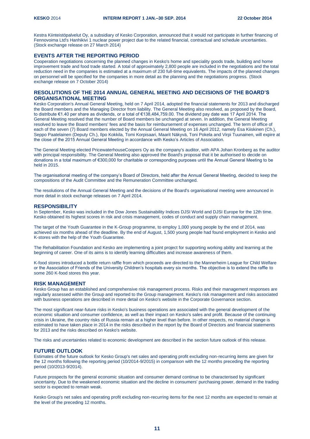Kestra Kiinteistöpalvelut Oy, a subsidiary of Kesko Corporation, announced that it would not participate in further financing of Fennovoima Ltd's Hanhikivi 1 nuclear power project due to the related financial, contractual and schedule uncertainties. (Stock exchange release on 27 March 2014)

# **EVENTS AFTER THE REPORTING PERIOD**

Cooperation negotiations concerning the planned changes in Kesko's home and speciality goods trade, building and home improvement trade and food trade started. A total of approximately 2,800 people are included in the negotiations and the total reduction need in the companies is estimated at a maximum of 230 full-time equivalents. The impacts of the planned changes on personnel will be specified for the companies in more detail as the planning and the negotiations progress. (Stock exchange release on 7 October 2014)

# **RESOLUTIONS OF THE 2014 ANNUAL GENERAL MEETING AND DECISIONS OF THE BOARD'S ORGANISATIONAL MEETING**

Kesko Corporation's Annual General Meeting, held on 7 April 2014, adopted the financial statements for 2013 and discharged the Board members and the Managing Director from liability. The General Meeting also resolved, as proposed by the Board, to distribute €1.40 per share as dividends, or a total of €138,484,759.00. The dividend pay date was 17 April 2014. The General Meeting resolved that the number of Board members be unchanged at seven. In addition, the General Meeting resolved to leave the Board members' fees and the basis for reimbursement of expenses unchanged. The term of office of each of the seven (7) Board members elected by the Annual General Meeting on 16 April 2012, namely Esa Kiiskinen (Ch.), Seppo Paatelainen (Deputy Ch.), Ilpo Kokkila, Tomi Korpisaari, Maarit Näkyvä, Toni Pokela and Virpi Tuunainen, will expire at the close of the 2015 Annual General Meeting in accordance with Kesko's Articles of Association.

The General Meeting elected PricewaterhouseCoopers Oy as the company's auditor, with APA Johan Kronberg as the auditor with principal responsibility. The General Meeting also approved the Board's proposal that it be authorised to decide on donations in a total maximum of €300,000 for charitable or corresponding purposes until the Annual General Meeting to be held in 2015.

The organisational meeting of the company's Board of Directors, held after the Annual General Meeting, decided to keep the compositions of the Audit Committee and the Remuneration Committee unchanged.

The resolutions of the Annual General Meeting and the decisions of the Board's organisational meeting were announced in more detail in stock exchange releases on 7 April 2014.

#### **RESPONSIBILITY**

In September, Kesko was included in the Dow Jones Sustainability Indices DJSI World and DJSI Europe for the 12th time. Kesko obtained its highest scores in risk and crisis management, codes of conduct and supply chain management.

The target of the Youth Guarantee in the K-Group programme, to employ 1,000 young people by the end of 2014, was achieved six months ahead of the deadline. By the end of August, 1,500 young people had found employment in Kesko and K-stores with the help of the Youth Guarantee.

The Rehabilitation Foundation and Kesko are implementing a joint project for supporting working ability and learning at the beginning of career. One of its aims is to identify learning difficulties and increase awareness of them.

K-food stores introduced a bottle return raffle from which proceeds are directed to the Mannerheim League for Child Welfare or the Association of Friends of the University Children's hospitals every six months. The objective is to extend the raffle to some 260 K-food stores this year.

#### **RISK MANAGEMENT**

Kesko Group has an established and comprehensive risk management process. Risks and their management responses are regularly assessed within the Group and reported to the Group management. Kesko's risk management and risks associated with business operations are described in more detail on Kesko's website in the Corporate Governance section.

The most significant near-future risks in Kesko's business operations are associated with the general development of the economic situation and consumer confidence, as well as their impact on Kesko's sales and profit. Because of the continuing crisis in Ukraine, the country risks of Russia remain at a higher level than before. In other respects, no material change is estimated to have taken place in 2014 in the risks described in the report by the Board of Directors and financial statements for 2013 and the risks described on Kesko's website.

The risks and uncertainties related to economic development are described in the section future outlook of this release.

# **FUTURE OUTLOOK**

Estimates of the future outlook for Kesko Group's net sales and operating profit excluding non-recurring items are given for the 12 months following the reporting period (10/2014-9/2015) in comparison with the 12 months preceding the reporting period (10/2013-9/2014).

Future prospects for the general economic situation and consumer demand continue to be characterised by significant uncertainty. Due to the weakened economic situation and the decline in consumers' purchasing power, demand in the trading sector is expected to remain weak.

Kesko Group's net sales and operating profit excluding non-recurring items for the next 12 months are expected to remain at the level of the preceding 12 months.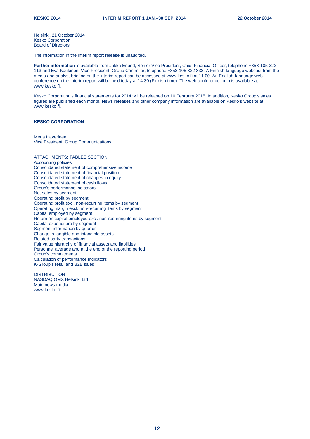Helsinki, 21 October 2014 Kesko Corporation Board of Directors

The information in the interim report release is unaudited.

**Further information** is available from Jukka Erlund, Senior Vice President, Chief Financial Officer, telephone +358 105 322 113 and Eva Kaukinen, Vice President, Group Controller, telephone +358 105 322 338. A Finnish-language webcast from the media and analyst briefing on the interim report can be accessed at www.kesko.fi at 11.00. An English-language web conference on the interim report will be held today at 14:30 (Finnish time). The web conference login is available at www.kesko.fi.

Kesko Corporation's financial statements for 2014 will be released on 10 February 2015. In addition, Kesko Group's sales figures are published each month. News releases and other company information are available on Kesko's website at www.kesko.fi.

#### **KESKO CORPORATION**

Meria Haverinen Vice President, Group Communications

# ATTACHMENTS: TABLES SECTION

Accounting policies Consolidated statement of comprehensive income Consolidated statement of financial position Consolidated statement of changes in equity Consolidated statement of cash flows Group's performance indicators Net sales by segment Operating profit by segment Operating profit excl. non-recurring items by segment Operating margin excl. non-recurring items by segment Capital employed by segment Return on capital employed excl. non-recurring items by segment Capital expenditure by segment Segment information by quarter Change in tangible and intangible assets Related party transactions Fair value hierarchy of financial assets and liabilities Personnel average and at the end of the reporting period Group's commitments Calculation of performance indicators K-Group's retail and B2B sales

**DISTRIBUTION** NASDAQ OMX Helsinki Ltd Main news media www.kesko.fi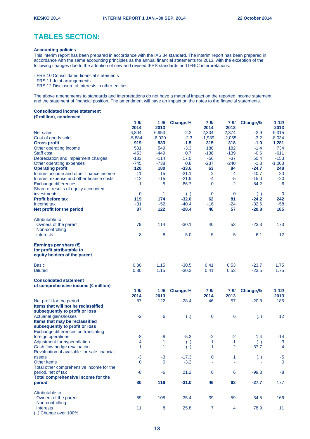# **TABLES SECTION:**

# **Accounting policies**

This interim report has been prepared in accordance with the IAS 34 standard. The interim report has been prepared in accordance with the same accounting principles as the annual financial statements for 2013, with the exception of the following changes due to the adoption of new and revised IFRS standards and IFRIC interpretations:

-IFRS 10 Consolidated financial statements

-IFRS 11 Joint arrangements

-IFRS 12 Disclosure of interests in other entities

The above amendments to standards and interpretations do not have a material impact on the reported income statement and the statement of financial position. The amendment will have an impact on the notes to the financial statements.

## **Consolidated income statement (€ million), condensed**

|                                                                                               | $1 - 9/$<br>2014 | $1 - 9/$<br>2013 | Change,%          | 7-9/<br>2014   | $7 - 9/$<br>2013 | Change,%                | $1 - 12/$<br>2013 |
|-----------------------------------------------------------------------------------------------|------------------|------------------|-------------------|----------------|------------------|-------------------------|-------------------|
| Net sales                                                                                     | 6,804            | 6,953            | $-2.2$            | 2,304          | 2,374            | $-2.9$                  | 9,315             |
| Cost of goods sold                                                                            | $-5,884$         | $-6,020$         | $-2.3$            | $-1,989$       | $-2,055$         | $-3.2$                  | $-8,034$          |
| <b>Gross profit</b>                                                                           | 919              | 933              | $-1.5$            | 315            | 318              | $-1.0$                  | 1,281             |
| Other operating income                                                                        | 531              | 549              | $-3.3$            | 180            | 182              | $-1.4$                  | 734               |
| <b>Staff cost</b>                                                                             | $-453$           | $-449$           | 0.7               | $-138$         | $-139$           | $-0.6$                  | $-611$            |
| Depreciation and impairment charges                                                           | $-133$           | $-114$           | 17.0              | $-56$          | $-37$            | 50.4                    | $-153$            |
| Other operating expenses                                                                      | $-745$           | $-738$           | 0.8               | $-237$         | $-240$           | $-1.3$                  | $-1,003$          |
| <b>Operating profit</b>                                                                       | 120              | 180              | $-33.6$           | 63             | 84               | $-24.7$                 | 248               |
| Interest income and other finance income                                                      | 11               | 15               | $-21.1$           | $\overline{2}$ | 4                | $-40.7$                 | 20                |
| Interest expense and other finance costs                                                      | $-12$            | $-15$            | $-21.9$           | $-4$           | $-5$             | $-15.0$                 | $-20$             |
| <b>Exchange differences</b>                                                                   | $-1$             | $-5$             | $-86.7$           | $\mathbf 0$    | $-2$             | $-84.2$                 | -6                |
| Share of results of equity accounted                                                          |                  |                  |                   |                |                  |                         |                   |
| investments                                                                                   | $\mathbf 0$      | $-1$             | $\left(  \right)$ | $\mathbf 0$    | $\mathbf 0$      | $\left( \ldots \right)$ | $\mathbf 0$       |
| <b>Profit before tax</b>                                                                      | 119              | 174              | $-32.0$           | 62             | 81               | $-24.2$                 | 242               |
| Income tax                                                                                    | $-31$            | $-52$            | $-40.4$           | $-16$          | -24              | $-32.6$                 | $-58$             |
| Net profit for the period                                                                     | 87               | 122              | $-28.4$           | 46             | 57               | $-20.8$                 | 185               |
| Attributable to                                                                               |                  |                  |                   |                |                  |                         |                   |
| Owners of the parent                                                                          | 79               | 114              | $-30.1$           | 40             | 53               | $-23.3$                 | 173               |
| Non-controlling                                                                               |                  |                  |                   |                |                  |                         |                   |
| interests                                                                                     | 8                | 8                | $-5.0$            | 5              | 5                | 6.1                     | 12                |
| Earnings per share $(\epsilon)$<br>for profit attributable to<br>equity holders of the parent |                  |                  |                   |                |                  |                         |                   |
| <b>Basic</b>                                                                                  | 0.80             | 1.15             | $-30.5$           | 0.41           | 0.53             | $-23.7$                 | 1.75              |
| <b>Diluted</b>                                                                                | 0.80             | 1.15             | $-30.3$           | 0.41           | 0.53             | $-23.5$                 | 1.75              |
| <b>Consolidated statement</b>                                                                 |                  |                  |                   |                |                  |                         |                   |
| of comprehensive income (€ million)                                                           | $1 - 9/$         | $1 - 9/$         |                   | $7 - 9/$       | 7-9/             |                         | $1 - 12/$         |
|                                                                                               | 2014             | 2013             | Change,%          | 2014           | 2013             | Change,%                | 2013              |
| Net profit for the period                                                                     | 87               | 122              | $-28.4$           | 46             | 57               | $-20.8$                 | 185               |
| Items that will not be reclassified                                                           |                  |                  |                   |                |                  |                         |                   |
| subsequently to profit or loss                                                                |                  |                  |                   |                |                  |                         |                   |
| Actuarial gains/losses                                                                        | $-2$             | 6                | (.)               | $\pmb{0}$      | 6                | $\left( \right)$        | 12                |
| Items that may be reclassified                                                                |                  |                  |                   |                |                  |                         |                   |
| subsequently to profit or loss                                                                |                  |                  |                   |                |                  |                         |                   |
| Exchange differences on translating                                                           |                  |                  |                   |                |                  |                         |                   |
| foreign operations                                                                            | -8               | -8               | $-5.3$            | $-2$           | $-2$             | 1.4                     | $-14$             |
| Adjustment for hyperinflation                                                                 | $\overline{4}$   | $\mathbf{1}$     | (.)               | 1              | $-1$             | $\left( \ldots \right)$ | 3                 |
| Cash flow hedge revaluation                                                                   | 1                | $-1$             | (.)               | $\mathbf{1}$   | $\overline{2}$   | $-37.7$                 | $-4$              |
| Revaluation of available-for-sale financial                                                   |                  |                  |                   |                |                  |                         |                   |
| assets                                                                                        | $-3$             | $-3$             | $-17.3$           | 0              | 1                | (.)                     | $-5$              |
| Other items                                                                                   | $\mathbf 0$      | $\Omega$         | $-3.2$            |                |                  |                         | $\mathbf 0$       |
| Total other comprehensive income for the                                                      |                  |                  |                   |                |                  |                         |                   |
| period, net of tax                                                                            | $-8$             | $-6$             | 21.2              | $\mathbf 0$    | 6                | $-99.3$                 | $-8$              |
| Total comprehensive income for the<br>period                                                  | 80               | 116              | $-31.0$           | 46             | 63               | $-27.7$                 | 177               |
| Attributable to                                                                               |                  |                  |                   |                |                  |                         |                   |
| Owners of the parent                                                                          | 69               | 108              | $-35.4$           | 39             | 59               | $-34.5$                 | 166               |
| Non-controlling                                                                               |                  |                  |                   |                |                  |                         |                   |
| interests                                                                                     | 11               | 8                | 25.8              | $\overline{7}$ | 4                | 78.9                    | 11                |
| () Change over 100%                                                                           |                  |                  |                   |                |                  |                         |                   |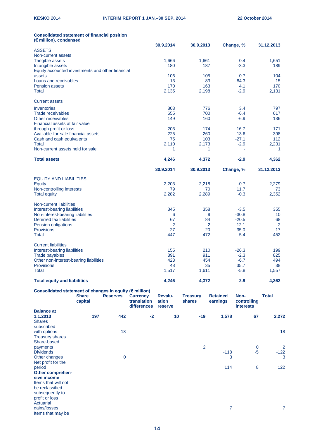## **Consolidated statement of financial position (€ million), condensed**

|                                                  | 30.9.2014 | 30.9.2013 | Change, % | 31.12.2013 |
|--------------------------------------------------|-----------|-----------|-----------|------------|
| <b>ASSETS</b>                                    |           |           |           |            |
| Non-current assets                               |           |           |           |            |
| Tangible assets                                  | 1,666     | 1,661     | 0.4       | 1,651      |
| Intangible assets                                | 180       | 187       | $-3.3$    | 189        |
| Equity accounted investments and other financial |           |           |           |            |
| assets                                           | 106       | 105       | 0.7       | 104        |
| Loans and receivables                            | 13        | 83        | $-84.3$   | 15         |
| <b>Pension assets</b>                            | 170       | 163       | 4.1       | 170        |
| Total                                            | 2,135     | 2,198     | $-2.9$    | 2,131      |
| <b>Current assets</b>                            |           |           |           |            |
| Inventories                                      | 803       | 776       | 3.4       | 797        |
| <b>Trade receivables</b>                         | 655       | 700       | $-6.4$    | 617        |
| Other receivables                                | 149       | 160       | $-6.9$    | 136        |
| Financial assets at fair value                   |           |           |           |            |
| through profit or loss                           | 203       | 174       | 16.7      | 171        |
| Available-for-sale financial assets              | 225       | 260       | $-13.6$   | 398        |
| Cash and cash equivalents                        | 75        | 103       | $-27.1$   | 112        |
| Total                                            | 2.110     | 2,173     | $-2.9$    | 2,231      |
| Non-current assets held for sale                 | 1         | 1         | ä,        | 1          |
| <b>Total assets</b>                              | 4,246     | 4,372     | $-2.9$    | 4,362      |
|                                                  |           |           |           |            |
|                                                  | 30.9.2014 | 30.9.2013 | Change, % | 31.12.2013 |
|                                                  |           |           |           |            |
| <b>EQUITY AND LIABILITIES</b>                    |           |           |           |            |
| <b>Equity</b>                                    | 2,203     | 2,218     | $-0.7$    | 2,279      |
| Non-controlling interests                        | 79        | 70        | 11.7      | 73         |
| <b>Total equity</b>                              | 2,282     | 2,289     | $-0.3$    | 2,352      |
| Non-current liabilities                          |           |           |           |            |
| Interest-bearing liabilities                     | 345       | 358       | $-3.5$    | 355        |
| Non-interest-bearing liabilities                 | 6         | 9         | $-30.8$   | 10         |
| Deferred tax liabilities                         | 67        | 84        | $-20.5$   | 68         |
| Pension obligations                              | 2         | 2         | 12.1      | 2          |
| Provisions                                       | 27        | 20        | 35.0      | 17         |
| <b>Total</b>                                     | 447       | 472       | $-5.4$    | 452        |
| <b>Current liabilities</b>                       |           |           |           |            |
| Interest-bearing liabilities                     | 155       | 210       | $-26.3$   | 199        |
| <b>Trade payables</b>                            | 891       | 911       | $-2.3$    | 825        |
| Other non-interest-bearing liabilities           | 423       | 454       | $-6.7$    | 494        |
| <b>Provisions</b>                                | 48        | 35        | 35.7      | 38         |
| <b>Total</b>                                     | 1,517     | 1,611     | $-5.8$    | 1,557      |
| <b>Total equity and liabilities</b>              | 4,246     | 4,372     | $-2.9$    | 4,362      |

# **Consolidated statement of changes in equity (€ million)**

| Consolidated statement of changes in equity (Chimnon)                                                                       | <b>Share</b><br>capital | <b>Reserves</b> | <b>Currency</b><br>translation<br>differences | <b>Revalu-</b><br>ation<br>reserve | <b>Treasury</b><br>shares | <b>Retained</b><br>earnings | Non-<br>controlling<br><b>interests</b> | <b>Total</b>   |
|-----------------------------------------------------------------------------------------------------------------------------|-------------------------|-----------------|-----------------------------------------------|------------------------------------|---------------------------|-----------------------------|-----------------------------------------|----------------|
| <b>Balance at</b>                                                                                                           |                         |                 |                                               |                                    |                           |                             |                                         |                |
| 1.1.2013<br><b>Shares</b><br>subscribed                                                                                     | 197                     | 442             | $-2$                                          | 10                                 | $-19$                     | 1,578                       | 67                                      | 2,272          |
| with options<br><b>Treasury shares</b><br>Share-based                                                                       |                         | 18              |                                               |                                    |                           |                             |                                         | 18             |
| payments                                                                                                                    |                         |                 |                                               |                                    | $\overline{2}$            |                             | $\bf{0}$                                | $\overline{2}$ |
| <b>Dividends</b>                                                                                                            |                         |                 |                                               |                                    |                           | $-118$                      | $-5$                                    | $-122$         |
| Other changes<br>Net profit for the                                                                                         |                         | 0               |                                               |                                    |                           | 3                           |                                         | 3              |
| period                                                                                                                      |                         |                 |                                               |                                    |                           | 114                         | 8                                       | 122            |
| Other comprehen-<br>sive income<br>Items that will not<br>be reclassified<br>subsequently to<br>profit or loss<br>Actuarial |                         |                 |                                               |                                    |                           |                             |                                         |                |
| gains/losses<br>Items that may be                                                                                           |                         |                 |                                               |                                    |                           | 7                           |                                         | 7              |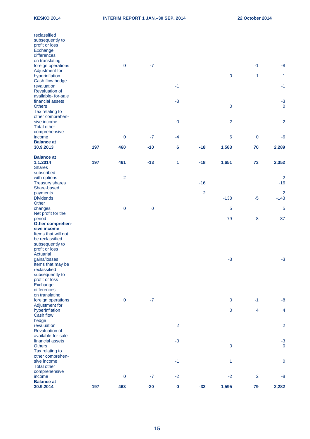| reclassified<br>subsequently to<br>profit or loss<br>Exchange<br>differences<br>on translating<br>foreign operations<br>Adjustment for |     | $\pmb{0}$      | $-7$        |                |                |                  | $-1$           | $-8$                     |
|----------------------------------------------------------------------------------------------------------------------------------------|-----|----------------|-------------|----------------|----------------|------------------|----------------|--------------------------|
| hyperinflation<br>Cash flow hedge                                                                                                      |     |                |             |                |                | $\pmb{0}$        | 1              | 1                        |
| revaluation<br><b>Revaluation of</b><br>available- for-sale                                                                            |     |                |             | $-1$           |                |                  |                | $-1$                     |
| financial assets<br><b>Others</b><br>Tax relating to                                                                                   |     |                |             | $-3$           |                | $\pmb{0}$        |                | $-3$<br>$\mathbf 0$      |
| other comprehen-<br>sive income<br><b>Total other</b>                                                                                  |     |                |             | $\mathbf 0$    |                | $-2$             |                | $-2$                     |
| comprehensive<br>income                                                                                                                |     | $\mathbf 0$    | $-7$        | $-4$           |                | $\boldsymbol{6}$ | $\mathbf 0$    | $-6$                     |
| <b>Balance at</b><br>30.9.2013                                                                                                         | 197 | 460            | $-10$       | 6              | $-18$          | 1,583            | 70             | 2,289                    |
|                                                                                                                                        |     |                |             |                |                |                  |                |                          |
| <b>Balance at</b><br>1.1.2014<br><b>Shares</b>                                                                                         | 197 | 461            | $-13$       | 1              | $-18$          | 1,651            | 73             | 2,352                    |
| subscribed<br>with options                                                                                                             |     | $\overline{2}$ |             |                |                |                  |                | $\overline{2}$           |
| <b>Treasury shares</b><br>Share-based                                                                                                  |     |                |             |                | $-16$          |                  |                | $-16$                    |
| payments<br><b>Dividends</b><br>Other                                                                                                  |     |                |             |                | $\overline{2}$ | $-138$           | $-5$           | $\overline{2}$<br>$-143$ |
| changes                                                                                                                                |     | $\pmb{0}$      | $\mathbf 0$ |                |                | $\overline{5}$   |                | 5                        |
| Net profit for the<br>period<br>Other comprehen-                                                                                       |     |                |             |                |                | 79               | 8              | 87                       |
| sive income<br>Items that will not<br>be reclassified                                                                                  |     |                |             |                |                |                  |                |                          |
| subsequently to<br>profit or loss<br>Actuarial                                                                                         |     |                |             |                |                |                  |                |                          |
| gains/losses<br>Items that may be<br>reclassified                                                                                      |     |                |             |                |                | $-3$             |                | $-3$                     |
| subsequently to<br>profit or loss<br>Exchange                                                                                          |     |                |             |                |                |                  |                |                          |
| differences<br>on translating                                                                                                          |     |                |             |                |                |                  |                |                          |
| foreign operations                                                                                                                     |     | $\mathbf 0$    | $-7$        |                |                | $\mathbf 0$      | $-1$           | $-8$                     |
| Adjustment for<br>hyperinflation<br>Cash flow                                                                                          |     |                |             |                |                | $\pmb{0}$        | 4              | $\overline{\mathbf{4}}$  |
| hedge<br>revaluation<br><b>Revaluation of</b>                                                                                          |     |                |             | $\overline{2}$ |                |                  |                | $\overline{2}$           |
| available-for-sale<br>financial assets<br><b>Others</b>                                                                                |     |                |             | $-3$           |                | $\pmb{0}$        |                | $-3$<br>$\mathbf 0$      |
| Tax relating to<br>other comprehen-<br>sive income<br><b>Total other</b>                                                               |     |                |             | $-1$           |                | $\mathbf{1}$     |                | $\pmb{0}$                |
| comprehensive<br>income<br><b>Balance at</b>                                                                                           |     | $\pmb{0}$      | $-7$        | $-2$           |                | $-2$             | $\overline{2}$ | $-8$                     |
| 30.9.2014                                                                                                                              | 197 | 463            | $-20$       | $\pmb{0}$      | $-32$          | 1,595            | 79             | 2,282                    |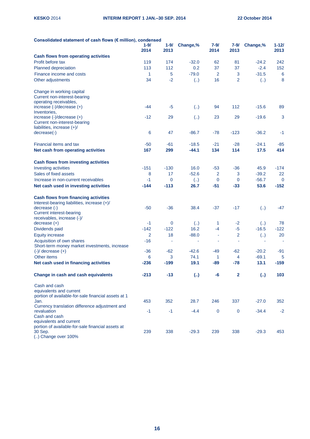| Consolidated statement of cash flows (€ million), condensed                  |                |             |                          |             |                |                         |             |
|------------------------------------------------------------------------------|----------------|-------------|--------------------------|-------------|----------------|-------------------------|-------------|
|                                                                              | $1 - 9/$       | $1 - 9/$    | Change,%                 | 7-9/        | 7-9/           | Change,%                | $1 - 121$   |
|                                                                              | 2014           | 2013        |                          | 2014        | 2013           |                         | 2013        |
| <b>Cash flows from operating activities</b>                                  |                |             |                          |             |                |                         |             |
| Profit before tax                                                            | 119            | 174         | $-32.0$                  | 62          | 81             | $-24.2$                 | 242         |
| Planned depreciation                                                         | 113            | 112         | 0.2                      | 37          | 37             | $-2.4$                  | 152         |
| Finance income and costs                                                     | 1              | 5           | $-79.0$                  | 2           | 3              | $-31.5$                 | 6           |
| Other adjustments                                                            | 34             | $-2$        | $\left( \ldots \right)$  | 16          | $\overline{2}$ | $\left( \ldots \right)$ | 8           |
| Change in working capital<br>Current non-interest-bearing                    |                |             |                          |             |                |                         |             |
| operating receivables,<br>increase (-)/decrease (+)                          | -44            | $-5$        | $\left( \ldots \right)$  | 94          | 112            | $-15.6$                 | 89          |
| Inventories,                                                                 |                |             |                          |             |                |                         |             |
| increase (-)/decrease (+)                                                    | $-12$          | 29          | $\left( \ldots \right)$  | 23          | 29             | $-19.6$                 | 3           |
| Current non-interest-bearing<br>liabilities, increase $(+)/$                 |                |             |                          |             |                |                         |             |
| decrease(-)                                                                  | 6              | 47          | $-86.7$                  | $-78$       | $-123$         | $-36.2$                 | $-1$        |
|                                                                              |                |             |                          |             |                |                         |             |
| Financial items and tax                                                      | $-50$          | -61         | $-18.5$                  | $-21$       | $-28$          | $-24.1$                 | $-85$       |
| Net cash from operating activities                                           | 167            | 299         | $-44.1$                  | 134         | 114            | 17.5                    | 414         |
| <b>Cash flows from investing activities</b>                                  |                |             |                          |             |                |                         |             |
| Investing activities                                                         | $-151$         | $-130$      | 16.0                     | -53         | $-36$          | 45.9                    | $-174$      |
| Sales of fixed assets                                                        | 8              | 17          | $-52.6$                  | 2           | 3              | $-39.2$                 | 22          |
| Increase in non-current receivables                                          | $-1$           | 0           | $\left( \ldots \right)$  | $\mathbf 0$ | $\mathbf 0$    | $-56.7$                 | $\mathbf 0$ |
| Net cash used in investing activities                                        | $-144$         | $-113$      | 26.7                     | $-51$       | $-33$          | 53.6                    | $-152$      |
| <b>Cash flows from financing activities</b>                                  |                |             |                          |             |                |                         |             |
| Interest-bearing liabilities, increase (+)/                                  |                |             |                          |             |                |                         |             |
| decrease (-)                                                                 | -50            | -36         | 38.4                     | $-37$       | $-17$          | (.)                     | $-47$       |
| <b>Current interest-bearing</b>                                              |                |             |                          |             |                |                         |             |
| receivables, increase (-)/<br>$decrease (+)$                                 | $-1$           | $\mathbf 0$ | $\left( \ldots \right)$  | 1           | $-2$           | $\left(  \right)$       | 78          |
| Dividends paid                                                               | $-142$         | $-122$      | 16.2                     | $-4$        | $-5$           | $-16.5$                 | $-122$      |
| <b>Equity increase</b>                                                       | $\overline{2}$ | 18          | $-88.0$                  | ä,          | $\overline{2}$ | (.)                     | 20          |
| Acquisition of own shares                                                    | $-16$          | ۰           | $\overline{\phantom{a}}$ | ×,          | ÷              | $\overline{a}$          | ٠           |
| Short-term money market investments, increase                                |                |             |                          |             |                |                         |             |
| $(-)/$ decrease $(+)$                                                        | $-36$          | $-62$       | $-42.6$                  | -49         | $-62$          | $-20.2$                 | -91         |
| Other items                                                                  | 6              | 3           | 74.1                     | 1           | 4              | $-69.1$                 | 5           |
| Net cash used in financing activities                                        | $-236$         | $-199$      | 19.1                     | $-89$       | $-78$          | 13.1                    | $-159$      |
| Change in cash and cash equivalents                                          | $-213$         | $-13$       | (.)                      | -6          | $\mathbf{2}$   | (.)                     | 103         |
| Cash and cash                                                                |                |             |                          |             |                |                         |             |
| equivalents and current                                                      |                |             |                          |             |                |                         |             |
| portion of available-for-sale financial assets at 1<br>Jan.                  | 453            | 352         | 28.7                     | 246         | 337            | $-27.0$                 | 352         |
| Currency translation difference adjustment and                               |                |             |                          |             |                |                         |             |
| revaluation                                                                  | $-1$           | $-1$        | $-4.4$                   | $\mathbf 0$ | $\mathbf 0$    | $-34.4$                 | $-2$        |
| Cash and cash                                                                |                |             |                          |             |                |                         |             |
| equivalents and current<br>portion of available-for-sale financial assets at |                |             |                          |             |                |                         |             |
| 30 Sep.                                                                      | 239            | 338         | $-29.3$                  | 239         | 338            | $-29.3$                 | 453         |
| () Change over 100%                                                          |                |             |                          |             |                |                         |             |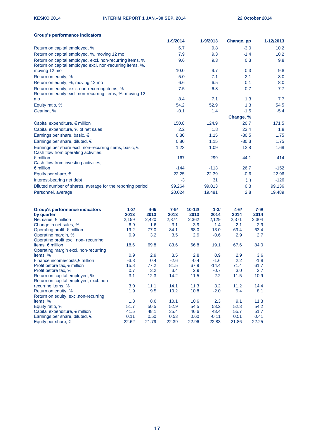| Group's performance indicators                                    |          |          |          |            |          |            |                   |           |
|-------------------------------------------------------------------|----------|----------|----------|------------|----------|------------|-------------------|-----------|
|                                                                   |          |          | 1-9/2014 |            | 1-9/2013 | Change, pp |                   | 1-12/2013 |
| Return on capital employed, %                                     |          |          | 6.7      |            | 9.8      |            | $-3.0$            | 10.2      |
| Return on capital employed, %, moving 12 mo                       |          |          | 7.9      |            | 9.3      |            | $-1.4$            | 10.2      |
| Return on capital employed, excl. non-recurring items, %          |          |          | 9.6      |            | 9.3      |            | 0.3               | 9.8       |
| Return on capital employed excl. non-recurring items, %,          |          |          |          |            |          |            |                   |           |
| moving 12 mo                                                      |          |          | 10.0     |            | 9.7      |            | 0.3               | 9.8       |
| Return on equity, %                                               |          |          | 5.0      |            | 7.1      | $-2.1$     |                   | 8.0       |
| Return on equity, %, moving 12 mo                                 |          |          | 6.6      |            | 6.5      |            | 0.1               | 8.0       |
| Return on equity, excl. non-recurring items, %                    |          |          | 7.5      |            | 6.8      |            | 0.7               | 7.7       |
| Return on equity excl. non-recurring items, %, moving 12          |          |          |          |            |          |            |                   |           |
| mo                                                                |          |          | 8.4      |            | 7.1      |            | 1.3               | 7.7       |
| Equity ratio, %                                                   |          |          | 54.2     |            | 52.9     |            | 1.3               | 54.5      |
| Gearing, %                                                        |          |          | $-0.1$   |            | 1.4      |            | $-1.5$            | $-5.4$    |
|                                                                   |          |          |          |            |          | Change, %  |                   |           |
| Capital expenditure, $\epsilon$ million                           |          |          | 150.8    |            | 124.9    | 20.7       |                   | 171.5     |
|                                                                   |          |          | 2.2      |            | 1.8      | 23.4       |                   | 1.8       |
| Capital expenditure, % of net sales                               |          |          |          |            |          |            |                   |           |
| Earnings per share, basic, €                                      |          |          | 0.80     |            | 1.15     | $-30.5$    |                   | 1.75      |
| Earnings per share, diluted, €                                    |          |          | 0.80     |            | 1.15     | $-30.3$    |                   | 1.75      |
| Earnings per share excl. non-recurring items, basic, €            |          |          | 1.23     |            | 1.09     | 12.8       |                   | 1.68      |
| Cash flow from operating activities,                              |          |          |          |            |          |            |                   |           |
| $\epsilon$ million<br>Cash flow from investing activities,        |          |          | 167      |            | 299      | $-44.1$    |                   | 414       |
| $\epsilon$ million                                                |          |          | $-144$   |            | $-113$   | 26.7       |                   | $-152$    |
| Equity per share, $\epsilon$                                      |          |          | 22.25    |            | 22.39    |            | $-0.6$            | 22.96     |
|                                                                   |          |          |          |            | 31       |            |                   | $-126$    |
| Interest-bearing net debt                                         |          |          | $-3$     |            |          |            | $\left(  \right)$ |           |
| Diluted number of shares, average for the reporting period        |          |          | 99,264   |            | 99,013   |            | 0.3               | 99,136    |
| Personnel, average                                                |          |          | 20,024   |            | 19,481   |            | 2.8               | 19,489    |
| <b>Group's performance indicators</b>                             | $1 - 3/$ | $4 - 61$ | $7 - 9/$ | $10 - 121$ | $1 - 3/$ | $4 - 6/$   | $7 - 9/$          |           |
| by quarter                                                        | 2013     | 2013     | 2013     | 2013       | 2014     | 2014       | 2014              |           |
| Net sales, $\epsilon$ million                                     | 2,159    | 2,420    | 2,374    | 2,362      | 2,129    | 2,371      | 2,304             |           |
| Change in net sales, %                                            | $-6.9$   | $-1.6$   | $-3.1$   | $-3.9$     | $-1.4$   | $-2.1$     | $-2.9$            |           |
| Operating profit, $\epsilon$ million                              | 19.2     | 77.0     | 84.1     | 68.0       | $-13.0$  | 69.4       | 63.4              |           |
| Operating margin, %                                               | 0.9      | 3.2      | 3.5      | 2.9        | $-0.6$   | 2.9        | 2.7               |           |
| Operating profit excl. non-recurring<br>items, $\epsilon$ million | 18.6     | 69.8     | 83.6     | 66.8       | 19.1     | 67.6       | 84.0              |           |
| Operating margin excl. non-recurring                              |          |          |          |            |          |            |                   |           |
| items, %                                                          | 0.9      | 2.9      | 3.5      | 2.8        | 0.9      | 2.9        | 3.6               |           |
| Finance income/costs,€ million                                    | $-3.3$   | 0.4      | $-2.6$   | $-0.4$     | $-1.6$   | 2.2        | $-1.8$            |           |
| Profit before tax, $\epsilon$ million                             | 15.8     | 77.2     | 81.5     | 67.9       | $-14.4$  | 71.4       | 61.7              |           |
| Profit before tax, %                                              | 0.7      | 3.2      | 3.4      | 2.9        | $-0.7$   | 3.0        | 2.7               |           |
| Return on capital employed, %                                     | 3.1      | 12.3     | 14.2     | $11.5$     | $-2.2$   | 11.5       | 10.9              |           |
| Return on capital employed, excl. non-                            |          |          |          |            |          |            |                   |           |
| recurring items, %                                                | 3.0      | 11.1     | 14.1     | 11.3       | 3.2      | 11.2       | 14.4              |           |
| Return on equity, %                                               | 1.9      | 9.5      | 10.2     | 10.8       | $-2.0$   | 9.4        | 8.1               |           |
| Return on equity, excl.non-recurring<br>items, %                  | 1.8      | 8.6      | 10.1     | 10.6       | 2.3      | 9.1        | 11.3              |           |
| Equity ratio, %                                                   | 51.7     | 50.5     | 52.9     | 54.5       | 53.2     | 52.3       | 54.2              |           |
| Capital expenditure, € million                                    | 41.5     | 48.1     | 35.4     | 46.6       | 43.4     | 55.7       | 51.7              |           |
| Earnings per share, diluted, €                                    | 0.11     | 0.50     | 0.53     | 0.60       | $-0.11$  | 0.51       | 0.41              |           |
| Equity per share, $\epsilon$                                      | 22.62    | 21.79    | 22.39    | 22.96      | 22.83    | 21.86      | 22.25             |           |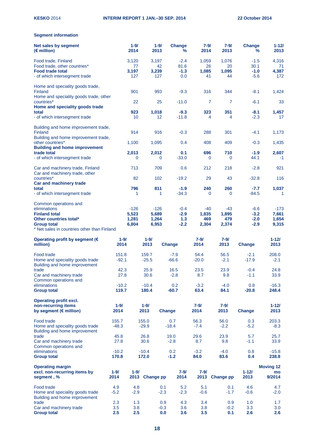# **Segment information**

| Net sales by segment<br>$(E$ million)                                                       |                  | $1 - 9/$<br>2014 |                  | $1 - 9/$<br>2013 | <b>Change</b><br>% | $7 - 9/$<br>2014 | $7 - 9/$<br>2013 | <b>Change</b><br>℅ | $1 - 121$<br>2013                |
|---------------------------------------------------------------------------------------------|------------------|------------------|------------------|------------------|--------------------|------------------|------------------|--------------------|----------------------------------|
| Food trade, Finland<br>Food trade, other countries*                                         |                  | 3,120<br>77      |                  | 3,197<br>42      | $-2.4$<br>81.6     | 1,059<br>26      | 1,076<br>20      | $-1.5$<br>30.1     | 4,316<br>71                      |
| <b>Food trade total</b><br>- of which intersegment trade                                    |                  | 3,197<br>127     |                  | 3,239<br>127     | $-1.3$<br>0.0      | 1,085<br>41      | 1,095<br>44      | $-1.0$<br>$-5.6$   | 4,387<br>172                     |
| Home and speciality goods trade,<br><b>Finland</b>                                          |                  | 901              |                  | 993              | $-9.3$             | 316              | 344              | $-8.1$             | 1,424                            |
| Home and speciality goods trade, other<br>countries*                                        |                  | 22               |                  | 25               | $-11.0$            | 7                | 7                | $-6.1$             | 33                               |
| Home and speciality goods trade<br>total<br>- of which intersegment trade                   |                  | 923<br>10        |                  | 1,018<br>12      | $-9.3$<br>$-11.8$  | 323<br>4         | 351<br>4         | $-8.1$<br>$-2.3$   | 1,457<br>17                      |
| Building and home improvement trade,<br>Finland                                             |                  | 914              |                  | 916              | $-0.3$             | 288              | 301              | $-4.1$             | 1,173                            |
| Building and home improvement trade,<br>other countries*                                    |                  | 1,100            |                  | 1,095            | 0.4                | 408              | 409              | $-0.3$             | 1,435                            |
| <b>Building and home improvement</b><br>trade total<br>- of which intersegment trade        |                  | 2,013<br>0       |                  | 2,012<br>0       | 0.1<br>$-33.0$     | 696<br>0         | 710<br>0         | $-1.9$<br>44.1     | 2,607<br>$-1$                    |
| Car and machinery trade, Finland<br>Car and machinery trade, other                          |                  | 713              |                  | 709              | 0.6                | 212              | 218              | $-2.8$             | 921                              |
| countries*<br><b>Car and machinery trade</b>                                                |                  | 82               |                  | 102              | $-19.2$            | 29               | 43               | $-32.8$            | 116                              |
| total<br>- of which intersegment trade                                                      |                  | 796<br>1         |                  | 811<br>1         | $-1.9$<br>$-34.3$  | 240<br>0         | 260<br>$\Omega$  | $-7.7$<br>$-84.5$  | 1,037<br>1                       |
| Common operations and<br>eliminations                                                       |                  | $-126$           |                  | $-126$           | $-0.4$             | -40              | -43              | $-6.6$             | $-173$                           |
| <b>Finland total</b>                                                                        |                  | 5,523            |                  | 5,689            | $-2.9$             | 1,835            | 1,895            | $-3.2$             | 7,661                            |
| Other countries total*<br><b>Group total</b><br>* Net sales in countries other than Finland |                  | 1,281<br>6,804   |                  | 1,264<br>6,953   | 1.3<br>$-2.2$      | 469<br>2,304     | 479<br>2,374     | $-2.0$<br>$-2.9$   | 1,654<br>9,315                   |
| Operating profit by segment (€<br>million)                                                  | $1 - 9/$<br>2014 |                  | $1 - 9/$<br>2013 |                  | Change             | $7 - 9/$<br>2014 | $7 - 9/$<br>2013 | <b>Change</b>      | $1 - 121$<br>2013                |
| Food trade                                                                                  | 151.8            |                  | 159.7            |                  | $-7.9$             | 54.4             | 56.5             | $-2.1$             | 208.0                            |
| Home and speciality goods trade<br>Building and home improvement                            | $-92.1$          |                  | $-25.5$          |                  | $-66.6$            | $-20.0$          | $-2.1$           | $-17.9$            | $-2.1$                           |
| trade<br>Car and machinery trade<br>Common operations and                                   | 42.3<br>27.8     |                  | 25.9<br>30.6     |                  | 16.5<br>$-2.8$     | 23.5<br>8.7      | 23.9<br>9.8      | $-0.4$<br>$-1.1$   | 24.8<br>33.9                     |
| eliminations<br><b>Group total</b>                                                          | $-10.2$<br>119.7 |                  | $-10.4$<br>180.4 |                  | 0.2<br>$-60.7$     | $-3.2$<br>63.4   | $-4.0$<br>84.1   | 0.8<br>$-20.8$     | $-16.3$<br>248.4                 |
| <b>Operating profit excl.</b><br>non-recurring items                                        | $1 - 9/$         |                  | $1 - 9/$         |                  |                    | $7 - 9/$         | $7 - 9/$         |                    | $1 - 121$                        |
| by segment ( $\varepsilon$ million)                                                         | 2014             |                  | 2013             |                  | <b>Change</b>      | 2014             | 2013             | <b>Change</b>      | 2013                             |
| Food trade<br>Home and speciality goods trade<br>Building and home improvement              | 155.7<br>$-48.3$ |                  | 155.0<br>$-29.9$ |                  | 0.7<br>$-18.4$     | 56.3<br>$-7.4$   | 56.0<br>$-2.2$   | 0.3<br>$-5.2$      | 203.3<br>$-8.3$                  |
| trade<br>Car and machinery trade                                                            | 45.8<br>27.8     |                  | 26.8<br>30.6     |                  | 19.0<br>$-2.8$     | 29.6<br>8.7      | 23.9<br>9.8      | 5.7<br>$-1.1$      | 25.7<br>33.9                     |
| Common operations and<br>eliminations                                                       | $-10.2$          |                  | $-10.4$          |                  | 0.2                | $-3.2$           | $-4.0$           | 0.8                | $-15.8$                          |
| <b>Group total</b>                                                                          | 170.8            |                  | 172.0            |                  | $-1.2$             | 84.0             | 83.6             | 0.4                | 238.8                            |
| <b>Operating margin</b><br>excl. non-recurring items by<br>segment, %                       | $1 - 9/$<br>2014 | $1 - 9/$<br>2013 | <b>Change pp</b> |                  | $7 - 9/$<br>2014   | $7 - 9/$<br>2013 | <b>Change pp</b> | $1 - 121$<br>2013  | <b>Moving 12</b><br>mo<br>9/2014 |
| Food trade<br>Home and speciality goods trade<br>Building and home improvement              | 4.9<br>$-5.2$    | 4.8<br>$-2.9$    |                  | 0.1<br>$-2.3$    | 5.2<br>$-2.3$      | 5.1<br>$-0.6$    | 0.1<br>$-1.7$    | 4.6<br>$-0.6$      | 4.7<br>$-2.0$                    |
| trade<br>Car and machinery trade                                                            | 2.3<br>3.5       | 1.3<br>3.8       |                  | 0.9<br>$-0.3$    | 4.3<br>3.6         | 3.4<br>3.8       | 0.9<br>$-0.2$    | 1.0<br>3.3         | 1.7<br>3.0                       |
| <b>Group total</b>                                                                          | 2.5              | 2.5              |                  | 0.0              | 3.6                | 3.5              | 0.1              | 2.6                | 2.6                              |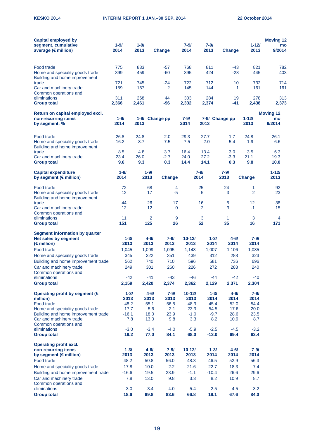| <b>Capital employed by</b><br>segment, cumulative<br>average (€ million)                   | $1 - 9/$<br>2014   | $1 - 9/$<br>2013 | <b>Change</b>    |                   | $7 - 9/$<br>2014   | $7 - 9/$<br>2013     | Change           | $1 - 12/$<br>2013 | <b>Moving 12</b><br>mo<br>9/2014 |
|--------------------------------------------------------------------------------------------|--------------------|------------------|------------------|-------------------|--------------------|----------------------|------------------|-------------------|----------------------------------|
| Food trade<br>Home and speciality goods trade<br>Building and home improvement             | 775<br>399         | 833<br>459       | -57<br>-60       |                   | 768<br>395         | 811<br>424           | -43<br>$-28$     | 821<br>445        | 782<br>403                       |
| trade<br>Car and machinery trade<br>Common operations and                                  | 721<br>159         | 745<br>157       | $-24$            | $\overline{2}$    | 722<br>145         | 712<br>144           | 10               | 732<br>161<br>1   | 714<br>161                       |
| eliminations<br><b>Group total</b>                                                         | 311<br>2,366       | 268<br>2,461     | -96              | 44                | 303<br>2,332       | 284<br>2,374         | 19<br>-41        | 278<br>2,438      | 313<br>2,373                     |
| Return on capital employed excl.                                                           |                    |                  |                  |                   |                    |                      |                  |                   | <b>Moving 12</b>                 |
| non-recurring items<br>by segment, %                                                       | $1 - 9/$<br>2014   | 2013             | 1-9/ Change pp   |                   | 7-9/<br>2014       | 2013                 | 7-9/ Change pp   | $1 - 12$<br>2013  | mo<br>9/2014                     |
| Food trade<br>Home and speciality goods trade<br>Building and home improvement             | 26.8<br>$-16.2$    | 24.8<br>$-8.7$   | $-7.5$           | 2.0               | 29.3<br>$-7.5$     | 27.7<br>$-2.0$       | 1.7<br>$-5.4$    | 24.8<br>$-1.9$    | 26.1<br>$-6.6$                   |
| trade                                                                                      | 8.5                | 4.8              |                  | 3.7               | 16.4               | 13.4                 | 3.0              | 3.5               | 6.3                              |
| Car and machinery trade<br><b>Group total</b>                                              | 23.4<br>9.6        | 26.0<br>9.3      | $-2.7$           | 0.3               | 24.0<br>14.4       | 27.2<br>14.1         | $-3.3$<br>0.3    | 21.1<br>9.8       | 19.3<br>10.0                     |
| <b>Capital expenditure</b><br>by segment (€ million)                                       | $1 - 9/$<br>2014   | $1 - 9/$<br>2013 |                  | <b>Change</b>     |                    | $7 - 9/$<br>2014     | $7 - 9/$<br>2013 | <b>Change</b>     | $1 - 121$<br>2013                |
| Food trade<br>Home and speciality goods trade                                              | 72<br>12           |                  | 68<br>17         | 4<br>$-5$         |                    | 25<br>5              | 24<br>3          | 1<br>2            | 92<br>23                         |
| Building and home improvement<br>trade<br>Car and machinery trade<br>Common operations and | 44<br>12           |                  | 26<br>12         | 17<br>$\mathbf 0$ |                    | 16<br>$\overline{2}$ | 5<br>3           | 12<br>$-1$        | 38<br>15                         |
| eliminations<br><b>Group total</b>                                                         | 11<br>151          | 125              | 2                | 9<br>26           |                    | 3<br>52              | 1<br>35          | 3<br>16           | 4<br>171                         |
| <b>Segment information by quarter</b><br>Net sales by segment                              | $1 - 31$<br>2013   | 2013             | $4 - 61$         | $7 - 9/$<br>2013  | $10 - 121$<br>2013 | $1 - 3/$<br>2014     | $4 - 61$<br>2014 | $7 - 9/$<br>2014  |                                  |
| $(\epsilon$ million)<br>Food trade                                                         | 1,045              | 1,099            |                  | 1,095             | 1,148              | 1,007                | 1,106            | 1,085             |                                  |
| Home and speciality goods trade                                                            | 345                |                  | 322              | 351               | 439                | 312                  | 288              | 323               |                                  |
| Building and home improvement trade                                                        | 562                |                  | 740              | 710               | 596                | 581                  | 736              | 696               |                                  |
| Car and machinery trade<br>Common operations and<br>eliminations                           | 249<br>$-42$       |                  | 301<br>$-41$     | 260<br>-43        | 226<br>$-46$       | 272<br>-44           | 283<br>$-42$     | 240<br>$-40$      |                                  |
| <b>Group total</b>                                                                         | 2,159              | 2,420            |                  | 2,374             | 2,362              | 2,129                | 2,371            | 2,304             |                                  |
| Operating profit by segment (€<br>million)                                                 | $1 - 3/$<br>2013   |                  | $4 - 6/$<br>2013 | $7 - 9/$<br>2013  | $10 - 12/$<br>2013 | $1 - 3/$<br>2014     | 4-6/<br>2014     | $7 - 9/$<br>2014  |                                  |
| Food trade                                                                                 | 48.2               |                  | 55.1             | 56.5              | 48.3               | 45.4                 | 52.0             | 54.4              |                                  |
| Home and speciality goods trade                                                            | $-17.7$            |                  | $-5.6$           | $-2.1$            | 23.3               | $-54.5$              | $-17.6$          | $-20.0$           |                                  |
| Building and home improvement trade<br>Car and machinery trade<br>Common operations and    | $-16.1$<br>7.8     |                  | 18.0<br>13.0     | 23.9<br>9.8       | $-1.0$<br>3.3      | $-9.7$<br>8.2        | 28.6<br>10.9     | 23.5<br>8.7       |                                  |
| eliminations<br><b>Group total</b>                                                         | $-3.0$<br>19.2     |                  | $-3.4$<br>77.0   | $-4.0$<br>84.1    | $-5.9$<br>68.0     | $-2.5$<br>$-13.0$    | $-4.5$<br>69.4   | $-3.2$<br>63.4    |                                  |
| <b>Operating profit excl.</b>                                                              |                    |                  |                  |                   |                    |                      |                  |                   |                                  |
| non-recurring items                                                                        | $1 - 3/$           |                  | $4 - 6/$         | $7 - 9/$          | $10 - 12/$         | $1 - 3/$             | $4 - 6/$         | $7 - 9/$          |                                  |
| by segment (€ million)                                                                     | 2013               |                  | 2013             | 2013              | 2013               | 2014                 | 2014             | 2014              |                                  |
| Food trade                                                                                 | 48.2               |                  | 50.8             | 56.0              | 48.3               | 46.5                 | 52.9             | 56.3              |                                  |
| Home and speciality goods trade                                                            | $-17.8$<br>$-16.6$ | $-10.0$          |                  | $-2.2$<br>23.9    | 21.6<br>$-1.1$     | $-22.7$<br>$-10.4$   | $-18.3$          | $-7.4$            |                                  |
| Building and home improvement trade<br>Car and machinery trade<br>Common operations and    | 7.8                |                  | 19.5<br>13.0     | 9.8               | 3.3                | 8.2                  | 26.6<br>10.9     | 29.6<br>8.7       |                                  |
| eliminations<br><b>Group total</b>                                                         | $-3.0$<br>18.6     |                  | $-3.4$<br>69.8   | $-4.0$<br>83.6    | $-5.4$<br>66.8     | $-2.5$<br>19.1       | $-4.5$<br>67.6   | $-3.2$<br>84.0    |                                  |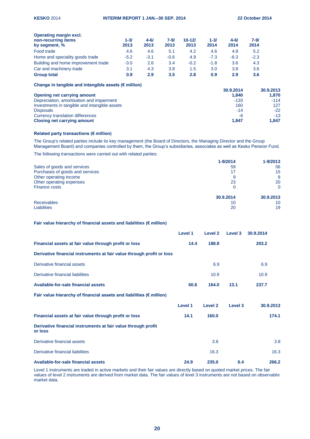| <b>Operating margin excl.</b>       |          |          |          |            |          |          |          |  |
|-------------------------------------|----------|----------|----------|------------|----------|----------|----------|--|
| non-recurring items                 | $1 - 31$ | $4 - 61$ | $7 - 9/$ | $10 - 121$ | $1 - 3l$ | $4 - 61$ | $7 - 9/$ |  |
| by segment, %                       | 2013     | 2013     | 2013     | 2013       | 2014     | 2014     | 2014     |  |
| Food trade                          | 4.6      | 4.6      | 5.1      | 4.2        | 4.6      | 4.8      | 5.2      |  |
| Home and speciality goods trade     | $-5.2$   | $-3.1$   | $-0.6$   | 4.9        | $-7.3$   | $-6.3$   | $-2.3$   |  |
| Building and home improvement trade | $-3.0$   | 2.6      | 3.4      | $-0.2$     | $-1.8$   | 3.6      | 4.3      |  |
| Car and machinery trade             | 3.1      | 4.3      | 3.8      | 1.5        | 3.0      | 3.8      | 3.6      |  |
| <b>Group total</b>                  | 0.9      | 2.9      | 3.5      | 2.8        | 0.9      | 2.9      | 3.6      |  |

**Change in tangible and intangible assets (€ million)**

|                                               | 30.9.2014 | 30.9.2013 |
|-----------------------------------------------|-----------|-----------|
| Opening net carrying amount                   | 1.840     | 1.870     |
| Depreciation, amortisation and impairment     | $-133$    | $-114$    |
| Investments in tangible and intangible assets | 160       | 127       |
| <b>Disposals</b>                              | $-14$     | $-22$     |
| Currency translation differences              | -6        | $-13$     |
| <b>Closing net carrying amount</b>            | 1.847     | 1.847     |

# **Related party transactions (€ million)**

The Group's related parties include its key management (the Board of Directors, the Managing Director and the Group Management Board) and companies controlled by them, the Group's subsidiaries, associates as well as Kesko Pension Fund.

The following transactions were carried out with related parties:

|                                 | 1-9/2014  | $1 - 9/2013$ |
|---------------------------------|-----------|--------------|
| Sales of goods and services     | 59        | 56           |
| Purchases of goods and services | 17        | 15           |
| Other operating income          | 9         | 8            |
| Other operating expenses        | 23        | 20           |
| Finance costs                   | 0         | $\Omega$     |
|                                 | 30.9.2014 | 30.9.2013    |
| <b>Receivables</b>              | 10        | 10           |
| <b>Liabilities</b>              | 20        | 19           |

# **Fair value hierarchy of financial assets and liabilities (€ million)**

|                                                                                | Level 1 | Level 2            | Level 3            | 30.9.2014 |
|--------------------------------------------------------------------------------|---------|--------------------|--------------------|-----------|
| Financial assets at fair value through profit or loss                          | 14.4    | 188.8              |                    | 203.2     |
| Derivative financial instruments at fair value through profit or loss          |         |                    |                    |           |
| Derivative financial assets                                                    |         | 6.9                |                    | 6.9       |
| Derivative financial liabilities                                               |         | 10.9               |                    | 10.9      |
| Available-for-sale financial assets                                            | 60.6    | 164.0              | 13.1               | 237.7     |
| Fair value hierarchy of financial assets and liabilities ( $\epsilon$ million) |         |                    |                    |           |
|                                                                                | Level 1 | Level <sub>2</sub> | Level <sub>3</sub> | 30.9.2013 |
| Financial assets at fair value through profit or loss                          | 14.1    | 160.0              |                    | 174.1     |
| Derivative financial instruments at fair value through profit<br>or loss       |         |                    |                    |           |
| Derivative financial assets                                                    |         | 3.8                |                    | 3.8       |
| Derivative financial liabilities                                               |         | 16.3               |                    | 16.3      |
| Available-for-sale financial assets                                            | 24.9    | 235.0              | 6.4                | 266.2     |

Level 1 instruments are traded in active markets and their fair values are directly based on quoted market prices. The fair values of level 2 instruments are derived from market data. The fair values of level 3 instruments are not based on observable market data.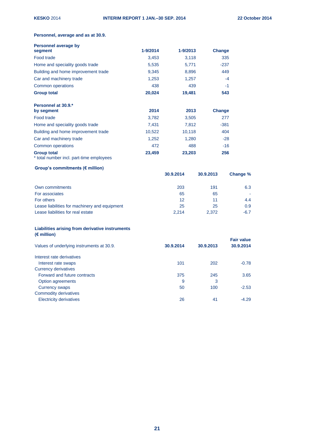# **Personnel, average and as at 30.9.**

| Personnel average by                                           |          |          |               |
|----------------------------------------------------------------|----------|----------|---------------|
| segment                                                        | 1-9/2014 | 1-9/2013 | <b>Change</b> |
| Food trade                                                     | 3,453    | 3,118    | 335           |
| Home and speciality goods trade                                | 5,535    | 5,771    | $-237$        |
| Building and home improvement trade                            | 9,345    | 8,896    | 449           |
| Car and machinery trade                                        | 1,253    | 1,257    | $-4$          |
| Common operations                                              | 438      | 439      | $-1$          |
| <b>Group total</b>                                             | 20,024   | 19,481   | 543           |
| Personnel at 30.9.*                                            |          |          |               |
| by segment                                                     | 2014     | 2013     | <b>Change</b> |
| Food trade                                                     | 3,782    | 3,505    | 277           |
| Home and speciality goods trade                                | 7,431    | 7,812    | $-381$        |
| Building and home improvement trade                            | 10,522   | 10,118   | 404           |
| Car and machinery trade                                        | 1,252    | 1,280    | $-28$         |
| Common operations                                              | 472      | 488      | $-16$         |
| <b>Group total</b><br>* total number incl. part-time employees | 23,459   | 23,203   | 256           |

# **Group's commitments (€ million)**

|                                               | 30.9.2014 | 30.9.2013 | Change % |
|-----------------------------------------------|-----------|-----------|----------|
| Own commitments                               | 203       | 191       | 6.3      |
| For associates                                | 65        | 65        |          |
| For others                                    | 12        | 11        | 4.4      |
| Lease liabilities for machinery and equipment | 25        | 25        | 0.9      |
| Lease liabilities for real estate             | 2.214     | 2.372     | $-6.7$   |

# **Liabilities arising from derivative instruments (€ million)**

|           |           | <b>Fair value</b> |
|-----------|-----------|-------------------|
| 30.9.2014 | 30.9.2013 | 30.9.2014         |
|           |           |                   |
| 101       | 202       | $-0.78$           |
|           |           |                   |
| 375       | 245       | 3.65              |
| 9         | 3         |                   |
| 50        | 100       | $-2.53$           |
|           |           |                   |
| 26        | 41        | $-4.29$           |
|           |           |                   |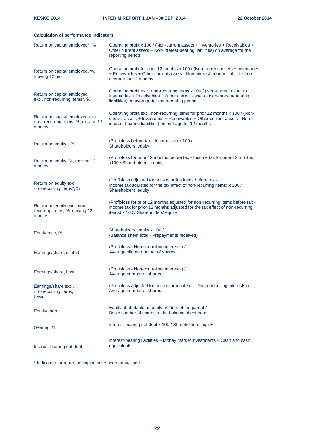# **Calculation of performance indicators**

| Return on capital employed*, %                                                  | Operating profit x 100 / (Non-current assets + Inventories + Receivables +<br>Other current assets - Non-interest-bearing liabilities) on average for the<br>reporting period                                      |
|---------------------------------------------------------------------------------|--------------------------------------------------------------------------------------------------------------------------------------------------------------------------------------------------------------------|
| Return on capital employed, %,<br>moving 12 mo                                  | Operating profit for prior 12 months x 100 / (Non-current assets + Inventories<br>+ Receivables + Other current assets - Non-interest-bearing liabilities) on<br>average for 12 months                             |
| Return on capital employed<br>excl. non-recurring items*, %                     | Operating profit excl. non-recurring items x 100 / (Non-current assets +<br>Inventories + Receivables + Other current assets - Non-interest-bearing<br>liabilities) on average for the reporting period            |
| Return on capital employed excl.<br>non-recurring items, %, moving 12<br>months | Operating profit excl. non-recurring items for prior 12 months x 100 / (Non-<br>current assets + Inventories + Receivables + Other current assets - Non-<br>interest-bearing liabilities) on average for 12 months |
| Return on equity*, %                                                            | (Profit/loss before tax - Income tax) x 100 /<br>Shareholders' equity                                                                                                                                              |
| Return on equity, %, moving 12<br>months                                        | (Profit/loss for prior 12 months before tax - Income tax for prior 12 months)<br>x100 / Shareholders' equity                                                                                                       |
| Return on equity excl.<br>non-recurring items*, %                               | (Profit/loss adjusted for non-recurring items before tax -<br>Income tax adjusted for the tax effect of non-recurring items) x 100 /<br>Shareholders' equity                                                       |
| Return on equity excl. non-<br>recurring items, %, moving 12<br>months          | (Profit/loss for prior 12 months adjusted for non-recurring items before tax -<br>Income tax for prior 12 months adjusted for the tax effect of non-recurring<br>items) x 100 / Shareholders' equity               |
| Equity ratio, %                                                                 | Shareholders' equity x 100 /<br>(Balance sheet total - Prepayments received)                                                                                                                                       |
| Earnings/share, diluted                                                         | (Profit/loss - Non-controlling interests) /<br>Average diluted number of shares                                                                                                                                    |
| Earnings/share, basic                                                           | (Profit/loss - Non-controlling interests) /<br>Average number of shares                                                                                                                                            |
| Earnings/share excl.<br>non-recurring items,<br>basic                           | (Profit/loss adjusted for non-recurring items - Non-controlling interests) /<br>Average number of shares                                                                                                           |
| Equity/share                                                                    | Equity attributable to equity holders of the parent /<br>Basic number of shares at the balance sheet date                                                                                                          |
| Gearing, %                                                                      | Interest-bearing net debt x 100 / Shareholders' equity                                                                                                                                                             |
| Interest-bearing net debt                                                       | Interest-bearing liabilities - Money market investments - Cash and cash<br>equivalents                                                                                                                             |

\* Indicators for return on capital have been annualised.